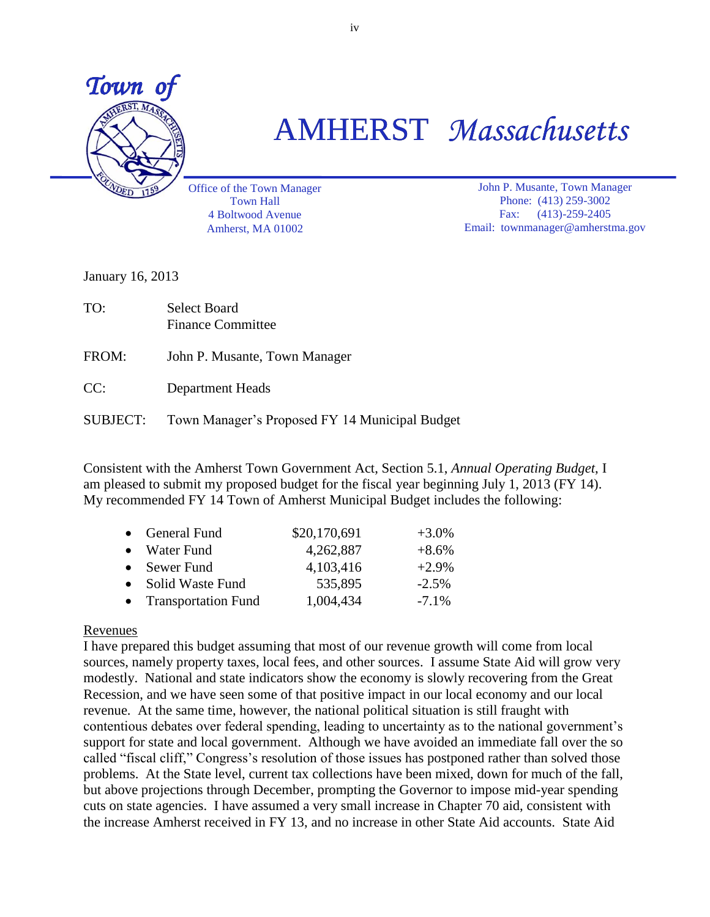

# AMHERST *Massachusetts*

Office of the Town Manager Town Hall 4 Boltwood Avenue Amherst, MA 01002

John P. Musante, Town Manager Phone: (413) 259-3002 Fax: (413)-259-2405 Email: townmanager@amherstma.gov

January 16, 2013

- TO: Select Board Finance Committee
- FROM: John P. Musante, Town Manager
- CC: Department Heads

SUBJECT: Town Manager's Proposed FY 14 Municipal Budget

Consistent with the Amherst Town Government Act, Section 5.1, *Annual Operating Budget*, I am pleased to submit my proposed budget for the fiscal year beginning July 1, 2013 (FY 14). My recommended FY 14 Town of Amherst Municipal Budget includes the following:

|           | • General Fund        | \$20,170,691 | $+3.0\%$ |
|-----------|-----------------------|--------------|----------|
|           | • Water Fund          | 4,262,887    | $+8.6%$  |
|           | • Sewer Fund          | 4,103,416    | $+2.9%$  |
| $\bullet$ | Solid Waste Fund      | 535,895      | $-2.5\%$ |
|           | • Transportation Fund | 1,004,434    | $-7.1\%$ |

# Revenues

I have prepared this budget assuming that most of our revenue growth will come from local sources, namely property taxes, local fees, and other sources. I assume State Aid will grow very modestly. National and state indicators show the economy is slowly recovering from the Great Recession, and we have seen some of that positive impact in our local economy and our local revenue. At the same time, however, the national political situation is still fraught with contentious debates over federal spending, leading to uncertainty as to the national government's support for state and local government. Although we have avoided an immediate fall over the so called "fiscal cliff," Congress's resolution of those issues has postponed rather than solved those problems. At the State level, current tax collections have been mixed, down for much of the fall, but above projections through December, prompting the Governor to impose mid-year spending cuts on state agencies. I have assumed a very small increase in Chapter 70 aid, consistent with the increase Amherst received in FY 13, and no increase in other State Aid accounts. State Aid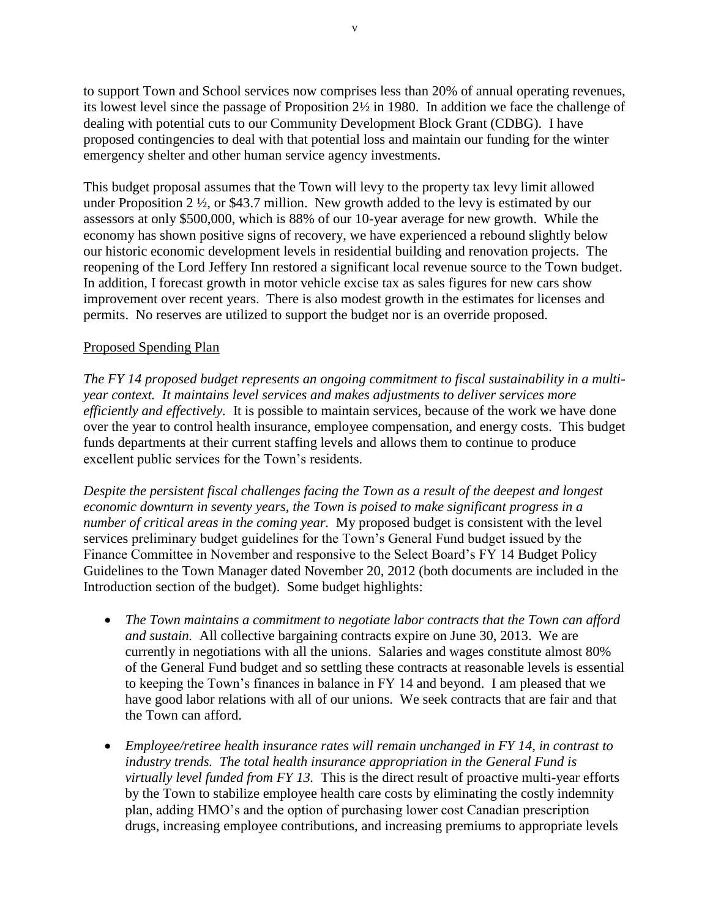to support Town and School services now comprises less than 20% of annual operating revenues, its lowest level since the passage of Proposition 2½ in 1980. In addition we face the challenge of dealing with potential cuts to our Community Development Block Grant (CDBG). I have proposed contingencies to deal with that potential loss and maintain our funding for the winter emergency shelter and other human service agency investments.

This budget proposal assumes that the Town will levy to the property tax levy limit allowed under Proposition 2 ½, or \$43.7 million. New growth added to the levy is estimated by our assessors at only \$500,000, which is 88% of our 10-year average for new growth. While the economy has shown positive signs of recovery, we have experienced a rebound slightly below our historic economic development levels in residential building and renovation projects. The reopening of the Lord Jeffery Inn restored a significant local revenue source to the Town budget. In addition, I forecast growth in motor vehicle excise tax as sales figures for new cars show improvement over recent years. There is also modest growth in the estimates for licenses and permits. No reserves are utilized to support the budget nor is an override proposed.

# Proposed Spending Plan

*The FY 14 proposed budget represents an ongoing commitment to fiscal sustainability in a multiyear context. It maintains level services and makes adjustments to deliver services more efficiently and effectively.* It is possible to maintain services, because of the work we have done over the year to control health insurance, employee compensation, and energy costs. This budget funds departments at their current staffing levels and allows them to continue to produce excellent public services for the Town's residents.

*Despite the persistent fiscal challenges facing the Town as a result of the deepest and longest economic downturn in seventy years, the Town is poised to make significant progress in a number of critical areas in the coming year.* My proposed budget is consistent with the level services preliminary budget guidelines for the Town's General Fund budget issued by the Finance Committee in November and responsive to the Select Board's FY 14 Budget Policy Guidelines to the Town Manager dated November 20, 2012 (both documents are included in the Introduction section of the budget). Some budget highlights:

- *The Town maintains a commitment to negotiate labor contracts that the Town can afford and sustain.* All collective bargaining contracts expire on June 30, 2013. We are currently in negotiations with all the unions. Salaries and wages constitute almost 80% of the General Fund budget and so settling these contracts at reasonable levels is essential to keeping the Town's finances in balance in FY 14 and beyond. I am pleased that we have good labor relations with all of our unions. We seek contracts that are fair and that the Town can afford.
- *Employee/retiree health insurance rates will remain unchanged in FY 14, in contrast to industry trends. The total health insurance appropriation in the General Fund is virtually level funded from FY 13.* This is the direct result of proactive multi-year efforts by the Town to stabilize employee health care costs by eliminating the costly indemnity plan, adding HMO's and the option of purchasing lower cost Canadian prescription drugs, increasing employee contributions, and increasing premiums to appropriate levels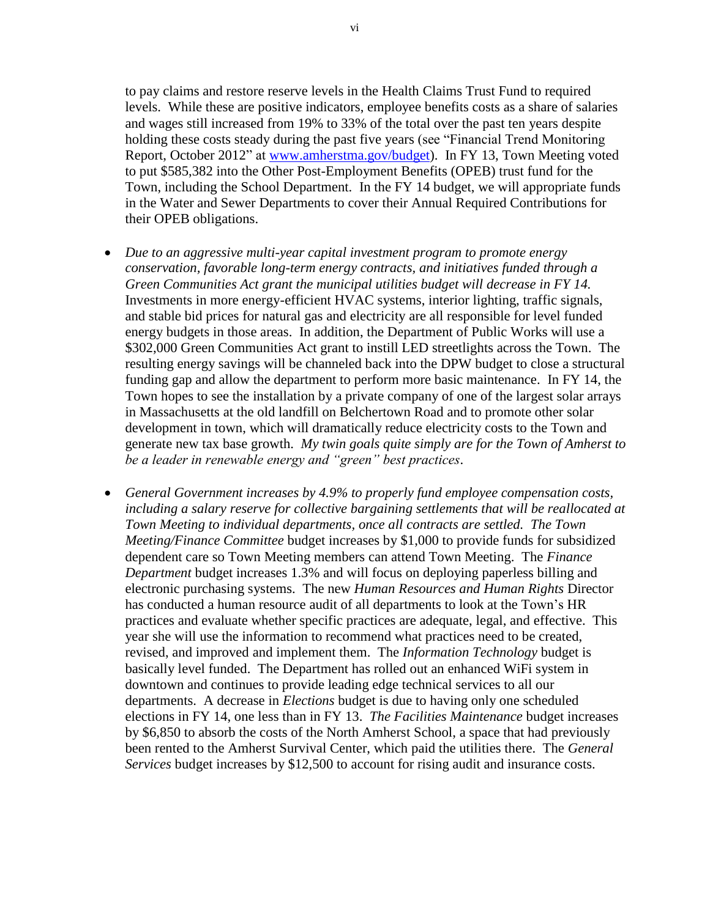to pay claims and restore reserve levels in the Health Claims Trust Fund to required levels. While these are positive indicators, employee benefits costs as a share of salaries and wages still increased from 19% to 33% of the total over the past ten years despite holding these costs steady during the past five years (see "Financial Trend Monitoring Report, October 2012" at [www.amherstma.gov/budget\)](http://www.amherstma.gov/budget). In FY 13, Town Meeting voted to put \$585,382 into the Other Post-Employment Benefits (OPEB) trust fund for the Town, including the School Department. In the FY 14 budget, we will appropriate funds in the Water and Sewer Departments to cover their Annual Required Contributions for their OPEB obligations.

- *Due to an aggressive multi-year capital investment program to promote energy conservation, favorable long-term energy contracts, and initiatives funded through a Green Communities Act grant the municipal utilities budget will decrease in FY 14.* Investments in more energy-efficient HVAC systems, interior lighting, traffic signals, and stable bid prices for natural gas and electricity are all responsible for level funded energy budgets in those areas. In addition, the Department of Public Works will use a \$302,000 Green Communities Act grant to instill LED streetlights across the Town. The resulting energy savings will be channeled back into the DPW budget to close a structural funding gap and allow the department to perform more basic maintenance. In FY 14, the Town hopes to see the installation by a private company of one of the largest solar arrays in Massachusetts at the old landfill on Belchertown Road and to promote other solar development in town, which will dramatically reduce electricity costs to the Town and generate new tax base growth. *My twin goals quite simply are for the Town of Amherst to be a leader in renewable energy and "green" best practices*.
- *General Government increases by 4.9% to properly fund employee compensation costs, including a salary reserve for collective bargaining settlements that will be reallocated at Town Meeting to individual departments, once all contracts are settled. The Town Meeting/Finance Committee* budget increases by \$1,000 to provide funds for subsidized dependent care so Town Meeting members can attend Town Meeting. The *Finance Department* budget increases 1.3% and will focus on deploying paperless billing and electronic purchasing systems. The new *Human Resources and Human Rights* Director has conducted a human resource audit of all departments to look at the Town's HR practices and evaluate whether specific practices are adequate, legal, and effective. This year she will use the information to recommend what practices need to be created, revised, and improved and implement them. The *Information Technology* budget is basically level funded. The Department has rolled out an enhanced WiFi system in downtown and continues to provide leading edge technical services to all our departments. A decrease in *Elections* budget is due to having only one scheduled elections in FY 14, one less than in FY 13. *The Facilities Maintenance* budget increases by \$6,850 to absorb the costs of the North Amherst School, a space that had previously been rented to the Amherst Survival Center, which paid the utilities there. The *General Services* budget increases by \$12,500 to account for rising audit and insurance costs.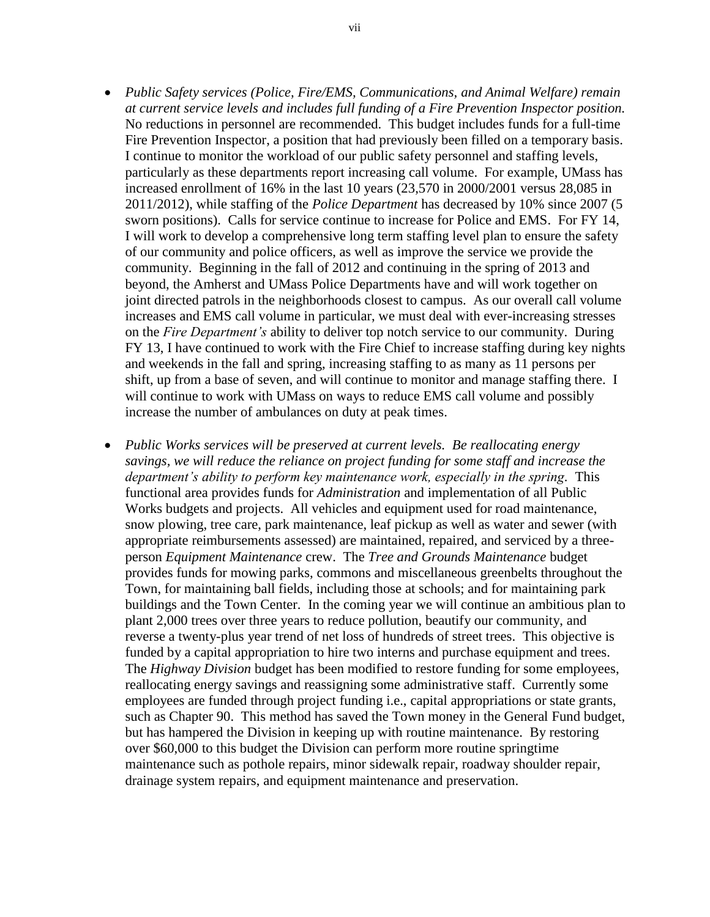- *Public Safety services (Police, Fire/EMS, Communications, and Animal Welfare) remain at current service levels and includes full funding of a Fire Prevention Inspector position.*  No reductions in personnel are recommended. This budget includes funds for a full-time Fire Prevention Inspector, a position that had previously been filled on a temporary basis. I continue to monitor the workload of our public safety personnel and staffing levels, particularly as these departments report increasing call volume. For example, UMass has increased enrollment of 16% in the last 10 years (23,570 in 2000/2001 versus 28,085 in 2011/2012), while staffing of the *Police Department* has decreased by 10% since 2007 (5 sworn positions). Calls for service continue to increase for Police and EMS. For FY 14, I will work to develop a comprehensive long term staffing level plan to ensure the safety of our community and police officers, as well as improve the service we provide the community. Beginning in the fall of 2012 and continuing in the spring of 2013 and beyond, the Amherst and UMass Police Departments have and will work together on joint directed patrols in the neighborhoods closest to campus. As our overall call volume increases and EMS call volume in particular, we must deal with ever-increasing stresses on the *Fire Department's* ability to deliver top notch service to our community. During FY 13, I have continued to work with the Fire Chief to increase staffing during key nights and weekends in the fall and spring, increasing staffing to as many as 11 persons per shift, up from a base of seven, and will continue to monitor and manage staffing there. I will continue to work with UMass on ways to reduce EMS call volume and possibly increase the number of ambulances on duty at peak times.
- *Public Works services will be preserved at current levels. Be reallocating energy savings, we will reduce the reliance on project funding for some staff and increase the department's ability to perform key maintenance work, especially in the spring.* This functional area provides funds for *Administration* and implementation of all Public Works budgets and projects. All vehicles and equipment used for road maintenance, snow plowing, tree care, park maintenance, leaf pickup as well as water and sewer (with appropriate reimbursements assessed) are maintained, repaired, and serviced by a threeperson *Equipment Maintenance* crew. The *Tree and Grounds Maintenance* budget provides funds for mowing parks, commons and miscellaneous greenbelts throughout the Town, for maintaining ball fields, including those at schools; and for maintaining park buildings and the Town Center. In the coming year we will continue an ambitious plan to plant 2,000 trees over three years to reduce pollution, beautify our community, and reverse a twenty-plus year trend of net loss of hundreds of street trees. This objective is funded by a capital appropriation to hire two interns and purchase equipment and trees. The *Highway Division* budget has been modified to restore funding for some employees, reallocating energy savings and reassigning some administrative staff. Currently some employees are funded through project funding i.e., capital appropriations or state grants, such as Chapter 90. This method has saved the Town money in the General Fund budget, but has hampered the Division in keeping up with routine maintenance. By restoring over \$60,000 to this budget the Division can perform more routine springtime maintenance such as pothole repairs, minor sidewalk repair, roadway shoulder repair, drainage system repairs, and equipment maintenance and preservation.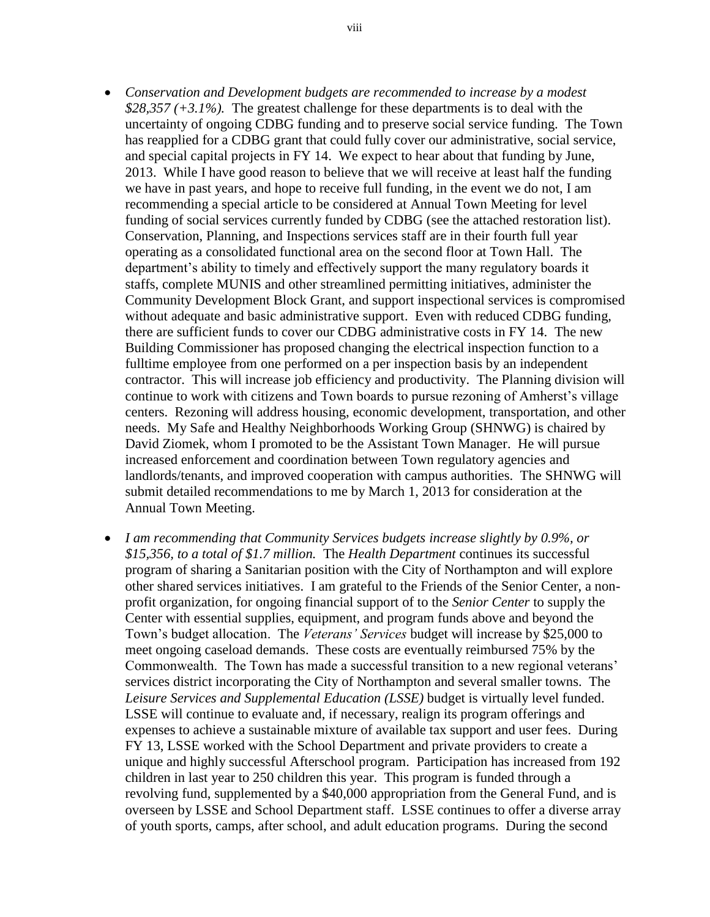- *Conservation and Development budgets are recommended to increase by a modest \$28,357 (+3.1%).* The greatest challenge for these departments is to deal with the uncertainty of ongoing CDBG funding and to preserve social service funding. The Town has reapplied for a CDBG grant that could fully cover our administrative, social service, and special capital projects in FY 14. We expect to hear about that funding by June, 2013. While I have good reason to believe that we will receive at least half the funding we have in past years, and hope to receive full funding, in the event we do not, I am recommending a special article to be considered at Annual Town Meeting for level funding of social services currently funded by CDBG (see the attached restoration list). Conservation, Planning, and Inspections services staff are in their fourth full year operating as a consolidated functional area on the second floor at Town Hall. The department's ability to timely and effectively support the many regulatory boards it staffs, complete MUNIS and other streamlined permitting initiatives, administer the Community Development Block Grant, and support inspectional services is compromised without adequate and basic administrative support. Even with reduced CDBG funding, there are sufficient funds to cover our CDBG administrative costs in FY 14. The new Building Commissioner has proposed changing the electrical inspection function to a fulltime employee from one performed on a per inspection basis by an independent contractor. This will increase job efficiency and productivity. The Planning division will continue to work with citizens and Town boards to pursue rezoning of Amherst's village centers. Rezoning will address housing, economic development, transportation, and other needs. My Safe and Healthy Neighborhoods Working Group (SHNWG) is chaired by David Ziomek, whom I promoted to be the Assistant Town Manager. He will pursue increased enforcement and coordination between Town regulatory agencies and landlords/tenants, and improved cooperation with campus authorities. The SHNWG will submit detailed recommendations to me by March 1, 2013 for consideration at the Annual Town Meeting.
- *I am recommending that Community Services budgets increase slightly by 0.9%, or \$15,356, to a total of \$1.7 million.* The *Health Department* continues its successful program of sharing a Sanitarian position with the City of Northampton and will explore other shared services initiatives. I am grateful to the Friends of the Senior Center, a nonprofit organization, for ongoing financial support of to the *Senior Center* to supply the Center with essential supplies, equipment, and program funds above and beyond the Town's budget allocation. The *Veterans' Services* budget will increase by \$25,000 to meet ongoing caseload demands. These costs are eventually reimbursed 75% by the Commonwealth. The Town has made a successful transition to a new regional veterans' services district incorporating the City of Northampton and several smaller towns. The *Leisure Services and Supplemental Education (LSSE)* budget is virtually level funded. LSSE will continue to evaluate and, if necessary, realign its program offerings and expenses to achieve a sustainable mixture of available tax support and user fees. During FY 13, LSSE worked with the School Department and private providers to create a unique and highly successful Afterschool program. Participation has increased from 192 children in last year to 250 children this year. This program is funded through a revolving fund, supplemented by a \$40,000 appropriation from the General Fund, and is overseen by LSSE and School Department staff. LSSE continues to offer a diverse array of youth sports, camps, after school, and adult education programs. During the second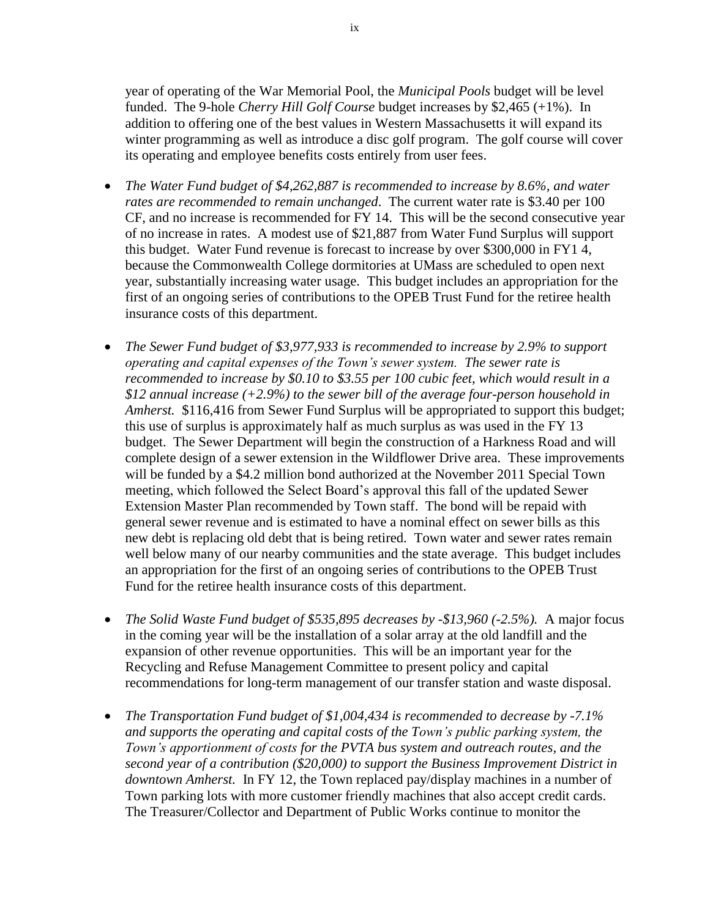year of operating of the War Memorial Pool, the *Municipal Pools* budget will be level funded. The 9-hole *Cherry Hill Golf Course* budget increases by \$2,465 (+1%). In addition to offering one of the best values in Western Massachusetts it will expand its winter programming as well as introduce a disc golf program. The golf course will cover its operating and employee benefits costs entirely from user fees.

- *The Water Fund budget of \$4,262,887 is recommended to increase by 8.6%, and water rates are recommended to remain unchanged*. The current water rate is \$3.40 per 100 CF, and no increase is recommended for FY 14. This will be the second consecutive year of no increase in rates. A modest use of \$21,887 from Water Fund Surplus will support this budget. Water Fund revenue is forecast to increase by over \$300,000 in FY1 4, because the Commonwealth College dormitories at UMass are scheduled to open next year, substantially increasing water usage. This budget includes an appropriation for the first of an ongoing series of contributions to the OPEB Trust Fund for the retiree health insurance costs of this department.
- *The Sewer Fund budget of \$3,977,933 is recommended to increase by 2.9% to support operating and capital expenses of the Town's sewer system. The sewer rate is recommended to increase by \$0.10 to \$3.55 per 100 cubic feet, which would result in a \$12 annual increase (+2.9%) to the sewer bill of the average four-person household in Amherst.* \$116,416 from Sewer Fund Surplus will be appropriated to support this budget; this use of surplus is approximately half as much surplus as was used in the FY 13 budget. The Sewer Department will begin the construction of a Harkness Road and will complete design of a sewer extension in the Wildflower Drive area. These improvements will be funded by a \$4.2 million bond authorized at the November 2011 Special Town meeting, which followed the Select Board's approval this fall of the updated Sewer Extension Master Plan recommended by Town staff. The bond will be repaid with general sewer revenue and is estimated to have a nominal effect on sewer bills as this new debt is replacing old debt that is being retired. Town water and sewer rates remain well below many of our nearby communities and the state average. This budget includes an appropriation for the first of an ongoing series of contributions to the OPEB Trust Fund for the retiree health insurance costs of this department.
- *The Solid Waste Fund budget of \$535,895 decreases by -\$13,960 (-2.5%).* A major focus in the coming year will be the installation of a solar array at the old landfill and the expansion of other revenue opportunities. This will be an important year for the Recycling and Refuse Management Committee to present policy and capital recommendations for long-term management of our transfer station and waste disposal.
- *The Transportation Fund budget of \$1,004,434 is recommended to decrease by -7.1% and supports the operating and capital costs of the Town's public parking system, the Town's apportionment of costs for the PVTA bus system and outreach routes, and the second year of a contribution (\$20,000) to support the Business Improvement District in downtown Amherst.* In FY 12, the Town replaced pay/display machines in a number of Town parking lots with more customer friendly machines that also accept credit cards. The Treasurer/Collector and Department of Public Works continue to monitor the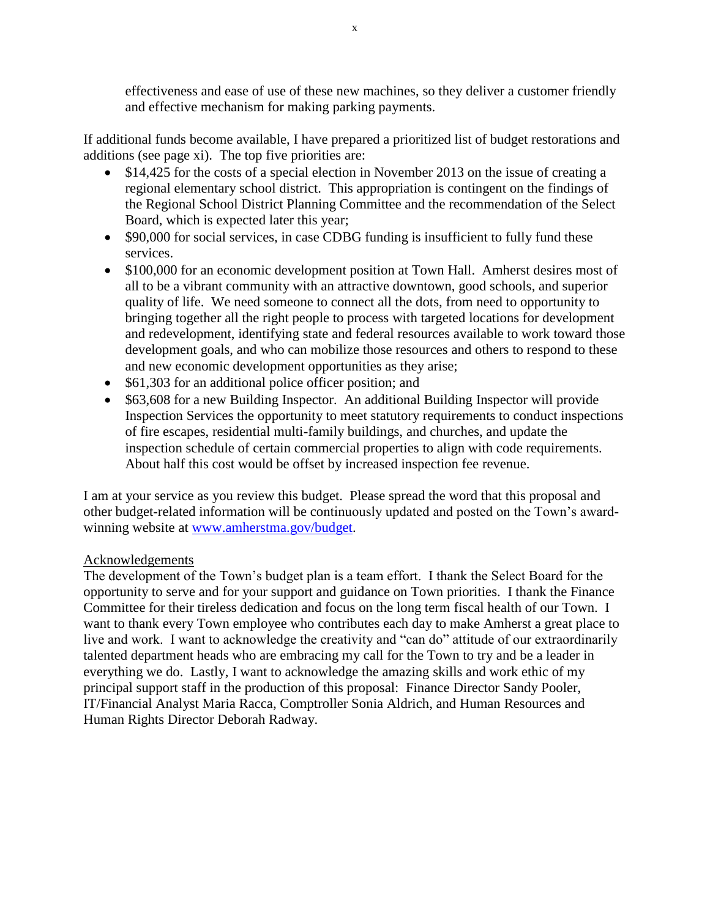effectiveness and ease of use of these new machines, so they deliver a customer friendly and effective mechanism for making parking payments.

If additional funds become available, I have prepared a prioritized list of budget restorations and additions (see page xi). The top five priorities are:

- \$14,425 for the costs of a special election in November 2013 on the issue of creating a regional elementary school district. This appropriation is contingent on the findings of the Regional School District Planning Committee and the recommendation of the Select Board, which is expected later this year;
- \$90,000 for social services, in case CDBG funding is insufficient to fully fund these services.
- \$100,000 for an economic development position at Town Hall. Amherst desires most of all to be a vibrant community with an attractive downtown, good schools, and superior quality of life. We need someone to connect all the dots, from need to opportunity to bringing together all the right people to process with targeted locations for development and redevelopment, identifying state and federal resources available to work toward those development goals, and who can mobilize those resources and others to respond to these and new economic development opportunities as they arise;
- \$61,303 for an additional police officer position; and
- \$63,608 for a new Building Inspector. An additional Building Inspector will provide Inspection Services the opportunity to meet statutory requirements to conduct inspections of fire escapes, residential multi-family buildings, and churches, and update the inspection schedule of certain commercial properties to align with code requirements. About half this cost would be offset by increased inspection fee revenue.

I am at your service as you review this budget. Please spread the word that this proposal and other budget-related information will be continuously updated and posted on the Town's awardwinning website at [www.amherstma.gov/budget.](http://www.amherstma.gov/budget)

## Acknowledgements

The development of the Town's budget plan is a team effort. I thank the Select Board for the opportunity to serve and for your support and guidance on Town priorities. I thank the Finance Committee for their tireless dedication and focus on the long term fiscal health of our Town. I want to thank every Town employee who contributes each day to make Amherst a great place to live and work. I want to acknowledge the creativity and "can do" attitude of our extraordinarily talented department heads who are embracing my call for the Town to try and be a leader in everything we do. Lastly, I want to acknowledge the amazing skills and work ethic of my principal support staff in the production of this proposal: Finance Director Sandy Pooler, IT/Financial Analyst Maria Racca, Comptroller Sonia Aldrich, and Human Resources and Human Rights Director Deborah Radway.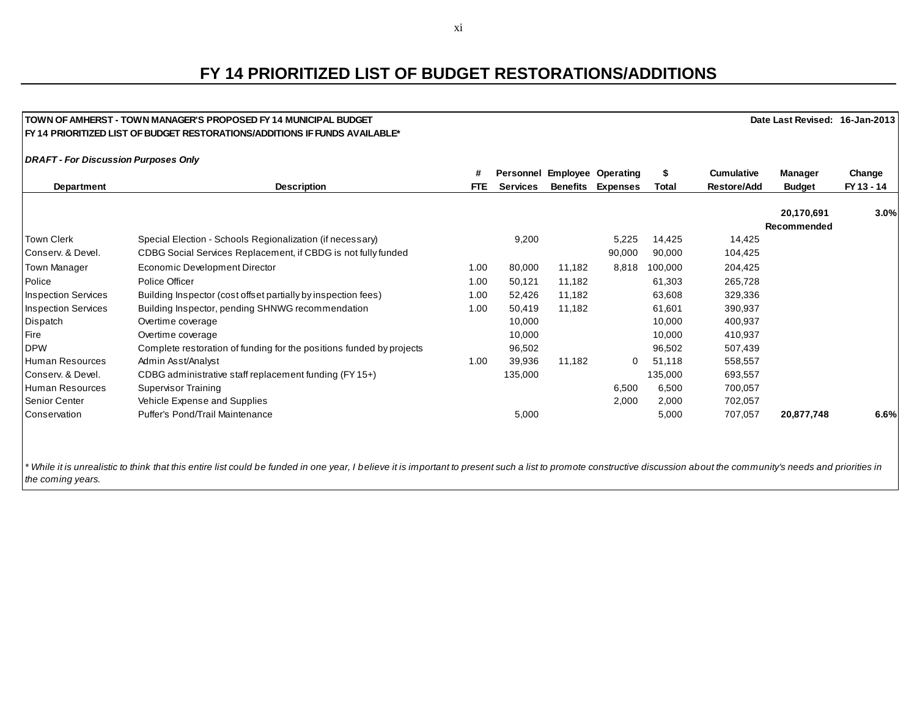# **FY 14 PRIORITIZED LIST OF BUDGET RESTORATIONS/ADDITIONS**

#### **TOWN OF AMHERST - TOWN MANAGER'S PROPOSED FY 14 MUNICIPAL BUDGET Date Last Revised: 16-Jan-2013 FY 14 PRIORITIZED LIST OF BUDGET RESTORATIONS/ADDITIONS IF FUNDS AVAILABLE\***

*DRAFT - For Discussion Purposes Only*

|                            |                                                                      | #          | Personnel       |        | <b>Employee Operating</b> |         | <b>Cumulative</b>  | Manager       | Change     |
|----------------------------|----------------------------------------------------------------------|------------|-----------------|--------|---------------------------|---------|--------------------|---------------|------------|
| Department                 | <b>Description</b>                                                   | <b>FTE</b> | <b>Services</b> |        | <b>Benefits Expenses</b>  | Total   | <b>Restore/Add</b> | <b>Budget</b> | FY 13 - 14 |
|                            |                                                                      |            |                 |        |                           |         |                    | 20,170,691    | 3.0%       |
|                            |                                                                      |            |                 |        |                           |         |                    | Recommended   |            |
| l Town Clerk               | Special Election - Schools Regionalization (if necessary)            |            | 9,200           |        | 5,225                     | 14,425  | 14,425             |               |            |
| Conserv. & Devel.          | CDBG Social Services Replacement, if CBDG is not fully funded        |            |                 |        | 90,000                    | 90,000  | 104,425            |               |            |
| Town Manager               | Economic Development Director                                        | 1.00       | 80,000          | 11,182 | 8,818                     | 100,000 | 204,425            |               |            |
| Police                     | Police Officer                                                       | 1.00       | 50,121          | 11,182 |                           | 61,303  | 265,728            |               |            |
| <b>Inspection Services</b> | Building Inspector (cost offset partially by inspection fees)        | 1.00       | 52,426          | 11,182 |                           | 63,608  | 329,336            |               |            |
| <b>Inspection Services</b> | Building Inspector, pending SHNWG recommendation                     | 1.00       | 50,419          | 11,182 |                           | 61,601  | 390,937            |               |            |
| Dispatch                   | Overtime coverage                                                    |            | 10,000          |        |                           | 10,000  | 400,937            |               |            |
| Fire                       | Overtime coverage                                                    |            | 10,000          |        |                           | 10,000  | 410,937            |               |            |
| <b>DPW</b>                 | Complete restoration of funding for the positions funded by projects |            | 96,502          |        |                           | 96,502  | 507,439            |               |            |
| <b>Human Resources</b>     | Admin Asst/Analyst                                                   | 1.00       | 39,936          | 11,182 | 0                         | 51,118  | 558,557            |               |            |
| Conserv. & Devel.          | CDBG administrative staff replacement funding (FY 15+)               |            | 135,000         |        |                           | 135,000 | 693,557            |               |            |
| Human Resources            | <b>Supervisor Training</b>                                           |            |                 |        | 6,500                     | 6,500   | 700,057            |               |            |
| Senior Center              | Vehicle Expense and Supplies                                         |            |                 |        | 2,000                     | 2,000   | 702,057            |               |            |
| Conservation               | Puffer's Pond/Trail Maintenance                                      |            | 5,000           |        |                           | 5,000   | 707,057            | 20,877,748    | 6.6%       |

*\* While it is unrealistic to think that this entire list could be funded in one year, I believe it is important to present such a list to promote constructive discussion about the community's needs and priorities in the coming years.*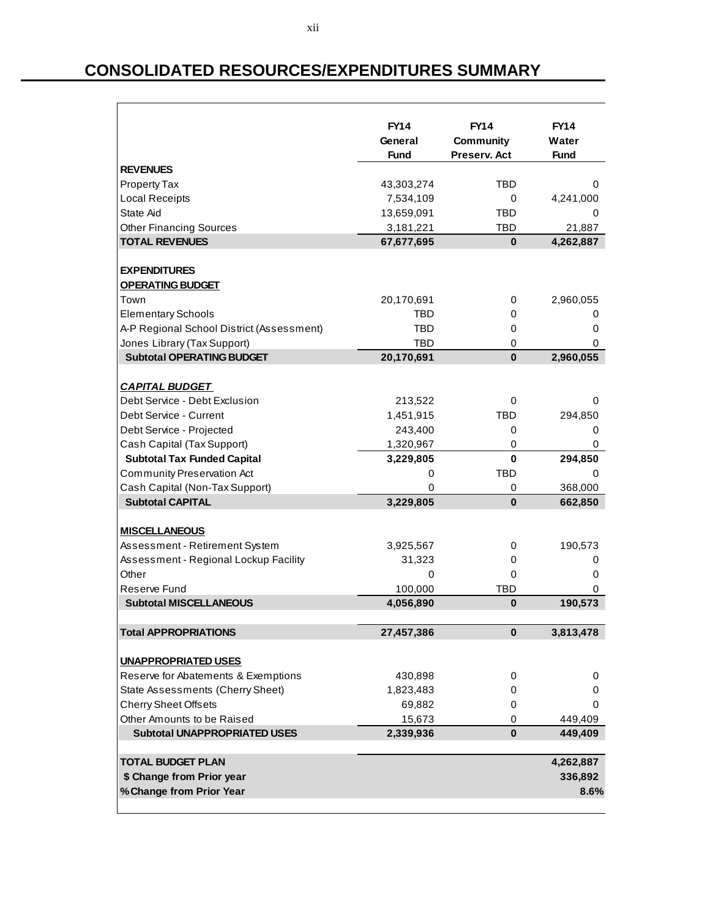# **CONSOLIDATED RESOURCES/EXPENDITURES SUMMARY**

|                                           | <b>FY14</b>            | <b>FY14</b>                      | <b>FY14</b>          |
|-------------------------------------------|------------------------|----------------------------------|----------------------|
|                                           | General<br><b>Fund</b> | <b>Community</b><br>Preserv. Act | Water<br><b>Fund</b> |
| <b>REVENUES</b>                           |                        |                                  |                      |
| <b>Property Tax</b>                       | 43,303,274             | TBD                              | 0                    |
| <b>Local Receipts</b>                     | 7,534,109              | 0                                | 4,241,000            |
| State Aid                                 | 13,659,091             | TBD                              | 0                    |
| <b>Other Financing Sources</b>            | 3,181,221              | TBD                              | 21,887               |
| <b>TOTAL REVENUES</b>                     | 67,677,695             | $\mathbf{0}$                     | 4,262,887            |
| <b>EXPENDITURES</b>                       |                        |                                  |                      |
| <b>OPERATING BUDGET</b>                   |                        |                                  |                      |
| Town                                      | 20,170,691             | 0                                | 2,960,055            |
| <b>Elementary Schools</b>                 | TBD                    | 0                                | 0                    |
| A-P Regional School District (Assessment) | TBD                    | 0                                | 0                    |
| Jones Library (Tax Support)               | <b>TBD</b>             | 0                                | 0                    |
| <b>Subtotal OPERATING BUDGET</b>          | 20,170,691             | $\mathbf{0}$                     | 2,960,055            |
|                                           |                        |                                  |                      |
| <b>CAPITAL BUDGET</b>                     |                        |                                  |                      |
| Debt Service - Debt Exclusion             | 213,522                | 0                                | $\Omega$             |
| Debt Service - Current                    | 1,451,915              | TBD                              | 294,850              |
| Debt Service - Projected                  | 243,400                | 0                                | 0                    |
| Cash Capital (Tax Support)                | 1,320,967              | 0                                | 0                    |
| <b>Subtotal Tax Funded Capital</b>        | 3,229,805              | $\bf{0}$                         | 294,850              |
| <b>Community Preservation Act</b>         | 0                      | <b>TBD</b>                       | 0                    |
| Cash Capital (Non-Tax Support)            | 0                      | 0                                | 368,000              |
| <b>Subtotal CAPITAL</b>                   | 3,229,805              | $\bf{0}$                         | 662,850              |
|                                           |                        |                                  |                      |
| <b>MISCELLANEOUS</b>                      |                        |                                  |                      |
| Assessment - Retirement System            | 3,925,567              | 0                                | 190,573              |
| Assessment - Regional Lockup Facility     | 31,323                 | 0                                | 0                    |
| Other                                     | 0                      | 0                                | 0                    |
| Reserve Fund                              | 100,000                | TBD                              | 0                    |
| <b>Subtotal MISCELLANEOUS</b>             | 4,056,890              | $\bf{0}$                         | 190,573              |
| <b>Total APPROPRIATIONS</b>               | 27,457,386             | $\bf{0}$                         | 3,813,478            |
|                                           |                        |                                  |                      |
| <b>UNAPPROPRIATED USES</b>                |                        |                                  |                      |
| Reserve for Abatements & Exemptions       | 430,898                | 0                                | 0                    |
| State Assessments (Cherry Sheet)          | 1,823,483              | 0                                | 0                    |
| <b>Cherry Sheet Offsets</b>               | 69,882                 | 0                                | 0                    |
| Other Amounts to be Raised                | 15,673                 | 0                                | 449,409              |
| <b>Subtotal UNAPPROPRIATED USES</b>       | 2,339,936              | $\mathbf{0}$                     | 449,409              |
|                                           |                        |                                  |                      |
| <b>TOTAL BUDGET PLAN</b>                  |                        |                                  | 4,262,887            |
| \$ Change from Prior year                 |                        |                                  | 336,892              |
| % Change from Prior Year                  |                        |                                  | 8.6%                 |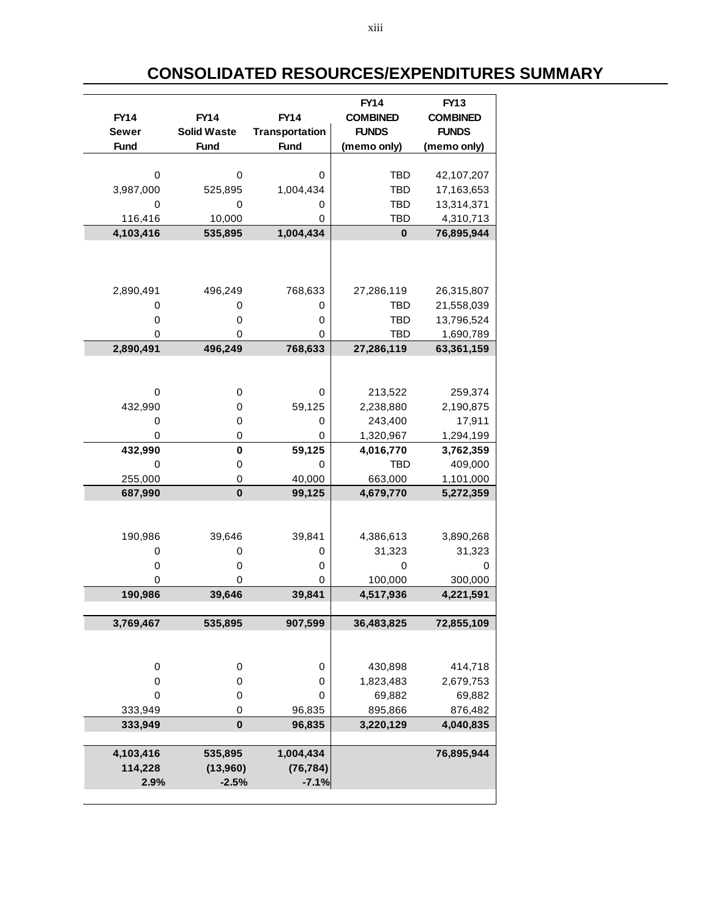# **CONSOLIDATED RESOURCES/EXPENDITURES SUMMARY**

|              |                    |                               | <b>FY14</b><br><b>FY13</b> |              |  |  |  |  |
|--------------|--------------------|-------------------------------|----------------------------|--------------|--|--|--|--|
| <b>FY14</b>  | <b>FY14</b>        | <b>COMBINED</b>               | <b>COMBINED</b>            |              |  |  |  |  |
| <b>Sewer</b> | <b>Solid Waste</b> | FY14<br><b>Transportation</b> | <b>FUNDS</b>               | <b>FUNDS</b> |  |  |  |  |
| <b>Fund</b>  | <b>Fund</b>        | <b>Fund</b>                   | (memo only)                | (memo only)  |  |  |  |  |
|              |                    |                               |                            |              |  |  |  |  |
| 0            | 0                  | 0                             | TBD                        | 42,107,207   |  |  |  |  |
| 3,987,000    | 525,895            | 1,004,434                     | <b>TBD</b>                 | 17,163,653   |  |  |  |  |
| 0            | 0                  | 0                             | <b>TBD</b>                 | 13,314,371   |  |  |  |  |
| 116,416      | 10,000             | 0                             | <b>TBD</b>                 | 4,310,713    |  |  |  |  |
| 4,103,416    | 535,895            | 1,004,434                     | $\bf{0}$                   | 76,895,944   |  |  |  |  |
|              |                    |                               |                            |              |  |  |  |  |
|              |                    |                               |                            |              |  |  |  |  |
| 2,890,491    | 496,249            | 768,633                       | 27,286,119                 | 26,315,807   |  |  |  |  |
| 0            | 0                  | 0                             | <b>TBD</b>                 | 21,558,039   |  |  |  |  |
| 0            | $\pmb{0}$          | 0                             | <b>TBD</b>                 | 13,796,524   |  |  |  |  |
| 0            | 0                  | 0                             | <b>TBD</b>                 | 1,690,789    |  |  |  |  |
| 2,890,491    | 496,249            | 768,633                       | 27,286,119                 | 63,361,159   |  |  |  |  |
|              |                    |                               |                            |              |  |  |  |  |
| 0            | 0                  | 0                             | 213,522                    | 259,374      |  |  |  |  |
| 432,990      | 0                  | 59,125                        | 2,238,880                  | 2,190,875    |  |  |  |  |
| 0            | 0                  | 0                             | 243,400                    | 17,911       |  |  |  |  |
| 0            | 0                  | 0                             | 1,320,967                  | 1,294,199    |  |  |  |  |
| 432,990      | $\bf{0}$           | 59,125                        | 4,016,770                  | 3,762,359    |  |  |  |  |
| 0            | 0                  | 0                             | <b>TBD</b>                 | 409,000      |  |  |  |  |
| 255,000      | 0                  | 40,000                        | 663,000                    | 1,101,000    |  |  |  |  |
| 687,990      | $\bf{0}$           | 99,125                        | 4,679,770                  | 5,272,359    |  |  |  |  |
|              |                    |                               |                            |              |  |  |  |  |
|              |                    |                               |                            |              |  |  |  |  |
| 190,986      | 39,646             | 39,841                        | 4,386,613                  | 3,890,268    |  |  |  |  |
| 0            | 0                  | 0                             | 31,323                     | 31,323       |  |  |  |  |
| $\mathbf 0$  | $\pmb{0}$          | 0                             | 0                          | 0            |  |  |  |  |
| $\mathbf 0$  | $\mathbf 0$        | $\mathbf 0$                   | 100,000                    | 300,000      |  |  |  |  |
| 190,986      | 39,646             | 39,841                        | 4,517,936                  | 4,221,591    |  |  |  |  |
|              |                    |                               |                            |              |  |  |  |  |
| 3,769,467    | 535,895            | 907,599                       | 36,483,825                 | 72,855,109   |  |  |  |  |
|              |                    |                               |                            |              |  |  |  |  |
| $\pmb{0}$    | 0                  | 0                             | 430,898                    | 414,718      |  |  |  |  |
| $\pmb{0}$    | $\boldsymbol{0}$   | 0                             | 1,823,483                  | 2,679,753    |  |  |  |  |
| $\mathbf 0$  | 0                  | 0                             | 69,882                     | 69,882       |  |  |  |  |
| 333,949      | $\mathbf 0$        | 96,835                        | 895,866                    | 876,482      |  |  |  |  |
| 333,949      | $\mathbf 0$        | 96,835                        | 3,220,129                  | 4,040,835    |  |  |  |  |
|              |                    |                               |                            |              |  |  |  |  |
| 4,103,416    | 535,895            | 1,004,434                     |                            | 76,895,944   |  |  |  |  |
| 114,228      | (13,960)           | (76, 784)                     |                            |              |  |  |  |  |
| 2.9%         | $-2.5%$            | $-7.1%$                       |                            |              |  |  |  |  |
|              |                    |                               |                            |              |  |  |  |  |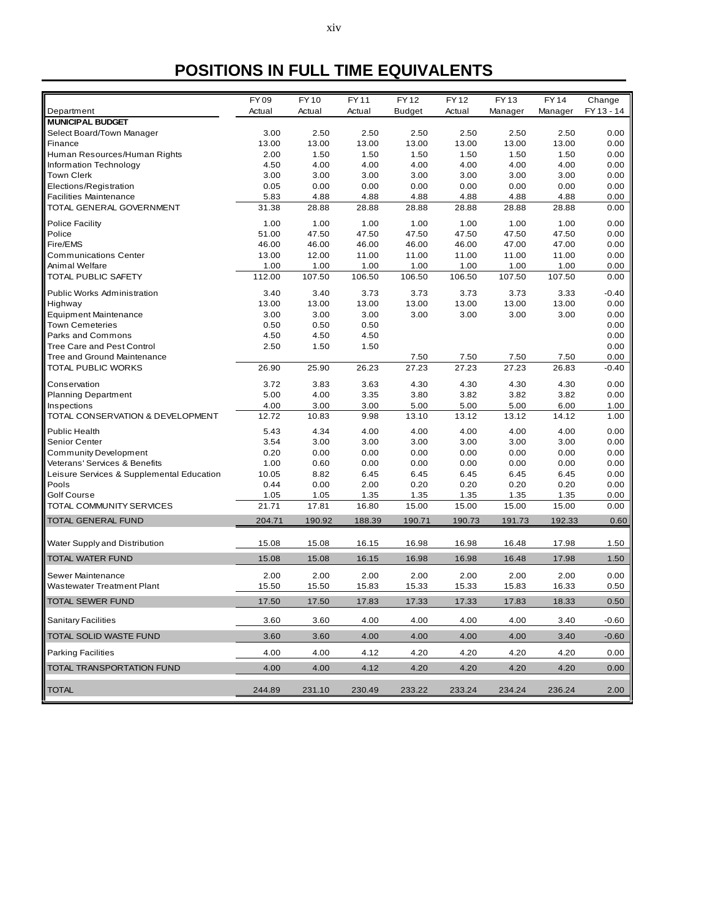# **POSITIONS IN FULL TIME EQUIVALENTS**

|                                                        | FY09   | <b>FY10</b> | FY 11  | <b>FY12</b>   | <b>FY12</b> | FY 13   | <b>FY14</b> | Change     |
|--------------------------------------------------------|--------|-------------|--------|---------------|-------------|---------|-------------|------------|
| Department                                             | Actual | Actual      | Actual | <b>Budget</b> | Actual      | Manager | Manager     | FY 13 - 14 |
| <b>MUNICIPAL BUDGET</b>                                |        |             |        |               |             |         |             |            |
| Select Board/Town Manager                              | 3.00   | 2.50        | 2.50   | 2.50          | 2.50        | 2.50    | 2.50        | 0.00       |
| Finance                                                | 13.00  | 13.00       | 13.00  | 13.00         | 13.00       | 13.00   | 13.00       | 0.00       |
| Human Resources/Human Rights                           | 2.00   | 1.50        | 1.50   | 1.50          | 1.50        | 1.50    | 1.50        | 0.00       |
| Information Technology                                 | 4.50   | 4.00        | 4.00   | 4.00          | 4.00        | 4.00    | 4.00        | 0.00       |
| <b>Town Clerk</b>                                      | 3.00   | 3.00        | 3.00   | 3.00          | 3.00        | 3.00    | 3.00        | 0.00       |
| Elections/Registration                                 | 0.05   | 0.00        | 0.00   | 0.00          | 0.00        | 0.00    | 0.00        | 0.00       |
| <b>Facilities Maintenance</b>                          | 5.83   | 4.88        | 4.88   | 4.88          | 4.88        | 4.88    | 4.88        | 0.00       |
| TOTAL GENERAL GOVERNMENT                               | 31.38  | 28.88       | 28.88  | 28.88         | 28.88       | 28.88   | 28.88       | 0.00       |
| <b>Police Facility</b>                                 | 1.00   | 1.00        | 1.00   | 1.00          | 1.00        | 1.00    | 1.00        | 0.00       |
| Police                                                 | 51.00  | 47.50       | 47.50  | 47.50         | 47.50       | 47.50   | 47.50       | 0.00       |
| Fire/EMS                                               | 46.00  | 46.00       | 46.00  | 46.00         | 46.00       | 47.00   | 47.00       | 0.00       |
| <b>Communications Center</b>                           | 13.00  | 12.00       | 11.00  | 11.00         | 11.00       | 11.00   | 11.00       | 0.00       |
| Animal Welfare                                         | 1.00   | 1.00        | 1.00   | 1.00          | 1.00        | 1.00    | 1.00        | 0.00       |
| TOTAL PUBLIC SAFETY                                    | 112.00 | 107.50      | 106.50 | 106.50        | 106.50      | 107.50  | 107.50      | 0.00       |
| Public Works Administration                            | 3.40   | 3.40        | 3.73   | 3.73          | 3.73        | 3.73    | 3.33        | $-0.40$    |
| Highway                                                | 13.00  | 13.00       | 13.00  | 13.00         | 13.00       | 13.00   | 13.00       | 0.00       |
|                                                        | 3.00   | 3.00        | 3.00   | 3.00          | 3.00        | 3.00    | 3.00        | 0.00       |
| <b>Equipment Maintenance</b><br><b>Town Cemeteries</b> | 0.50   |             |        |               |             |         |             | 0.00       |
|                                                        |        | 0.50        | 0.50   |               |             |         |             |            |
| Parks and Commons                                      | 4.50   | 4.50        | 4.50   |               |             |         |             | 0.00       |
| <b>Tree Care and Pest Control</b>                      | 2.50   | 1.50        | 1.50   |               |             |         |             | 0.00       |
| Tree and Ground Maintenance                            |        |             |        | 7.50          | 7.50        | 7.50    | 7.50        | 0.00       |
| <b>TOTAL PUBLIC WORKS</b>                              | 26.90  | 25.90       | 26.23  | 27.23         | 27.23       | 27.23   | 26.83       | $-0.40$    |
| Conservation                                           | 3.72   | 3.83        | 3.63   | 4.30          | 4.30        | 4.30    | 4.30        | 0.00       |
| <b>Planning Department</b>                             | 5.00   | 4.00        | 3.35   | 3.80          | 3.82        | 3.82    | 3.82        | 0.00       |
| Inspections                                            | 4.00   | 3.00        | 3.00   | 5.00          | 5.00        | 5.00    | 6.00        | 1.00       |
| TOTAL CONSERVATION & DEVELOPMENT                       | 12.72  | 10.83       | 9.98   | 13.10         | 13.12       | 13.12   | 14.12       | 1.00       |
| <b>Public Health</b>                                   | 5.43   | 4.34        | 4.00   | 4.00          | 4.00        | 4.00    | 4.00        | 0.00       |
| Senior Center                                          | 3.54   | 3.00        | 3.00   | 3.00          | 3.00        | 3.00    | 3.00        | 0.00       |
| <b>Community Development</b>                           | 0.20   | 0.00        | 0.00   | 0.00          | 0.00        | 0.00    | 0.00        | 0.00       |
| Veterans' Services & Benefits                          | 1.00   | 0.60        | 0.00   | 0.00          | 0.00        | 0.00    | 0.00        | 0.00       |
|                                                        | 10.05  | 8.82        |        |               |             |         |             | 0.00       |
| Leisure Services & Supplemental Education              |        |             | 6.45   | 6.45          | 6.45        | 6.45    | 6.45        |            |
| Pools                                                  | 0.44   | 0.00        | 2.00   | 0.20          | 0.20        | 0.20    | 0.20        | 0.00       |
| Golf Course                                            | 1.05   | 1.05        | 1.35   | 1.35          | 1.35        | 1.35    | 1.35        | 0.00       |
| TOTAL COMMUNITY SERVICES                               | 21.71  | 17.81       | 16.80  | 15.00         | 15.00       | 15.00   | 15.00       | 0.00       |
| TOTAL GENERAL FUND                                     | 204.71 | 190.92      | 188.39 | 190.71        | 190.73      | 191.73  | 192.33      | 0.60       |
|                                                        |        |             |        |               |             |         |             |            |
| Water Supply and Distribution                          | 15.08  | 15.08       | 16.15  | 16.98         | 16.98       | 16.48   | 17.98       | 1.50       |
| <b>TOTAL WATER FUND</b>                                | 15.08  | 15.08       | 16.15  | 16.98         | 16.98       | 16.48   | 17.98       | 1.50       |
|                                                        |        |             |        |               |             |         |             |            |
| Sewer Maintenance                                      | 2.00   | 2.00        | 2.00   | 2.00          | 2.00        | 2.00    | 2.00        | 0.00       |
| <b>Wastewater Treatment Plant</b>                      | 15.50  | 15.50       | 15.83  | 15.33         | 15.33       | 15.83   | 16.33       | 0.50       |
| <b>TOTAL SEWER FUND</b>                                | 17.50  | 17.50       | 17.83  | 17.33         | 17.33       | 17.83   | 18.33       | 0.50       |
|                                                        |        |             |        |               |             |         |             |            |
| <b>Sanitary Facilities</b>                             | 3.60   | 3.60        | 4.00   | 4.00          | 4.00        | 4.00    | 3.40        | $-0.60$    |
| TOTAL SOLID WASTE FUND                                 | 3.60   | 3.60        | 4.00   | 4.00          | 4.00        | 4.00    | 3.40        | $-0.60$    |
| <b>Parking Facilities</b>                              | 4.00   | 4.00        | 4.12   | 4.20          | 4.20        | 4.20    | 4.20        | 0.00       |
| TOTAL TRANSPORTATION FUND                              | 4.00   | 4.00        | 4.12   | 4.20          | 4.20        | 4.20    | 4.20        | 0.00       |
|                                                        |        |             |        |               |             |         |             |            |
| <b>TOTAL</b>                                           | 244.89 | 231.10      | 230.49 | 233.22        | 233.24      | 234.24  | 236.24      | 2.00       |
|                                                        |        |             |        |               |             |         |             |            |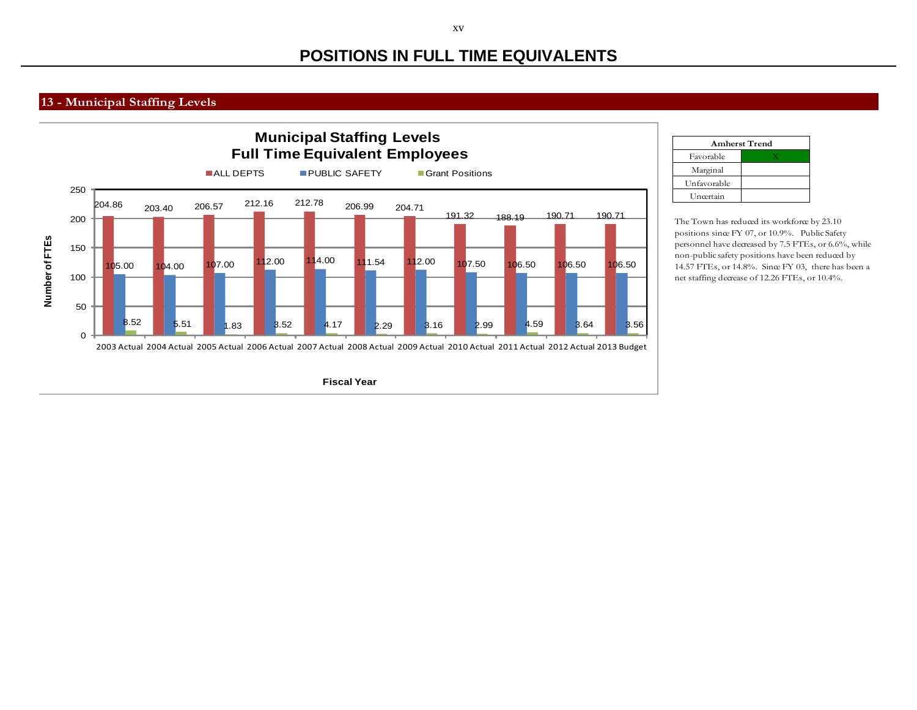# **POSITIONS IN FULL TIME EQUIVALENTS**

# **13 - Municipal Staffing Levels**



| <b>Amherst Trend</b> |  |  |  |  |  |  |  |  |  |
|----------------------|--|--|--|--|--|--|--|--|--|
| Favorable            |  |  |  |  |  |  |  |  |  |
| Marginal             |  |  |  |  |  |  |  |  |  |
| Unfavorable          |  |  |  |  |  |  |  |  |  |
| Uncertain            |  |  |  |  |  |  |  |  |  |

The Town has reduced its workforce by 23.10 positions since FY 07, or 10.9%. Public Safety personnel have decreased by 7.5 FTEs, or 6.6%, while non-public safety positions have been reduced by 14.57 FTEs, or 14.8%. Since FY 03, there has been a net staffing decrease of 12.26 FTEs, or 10.4%.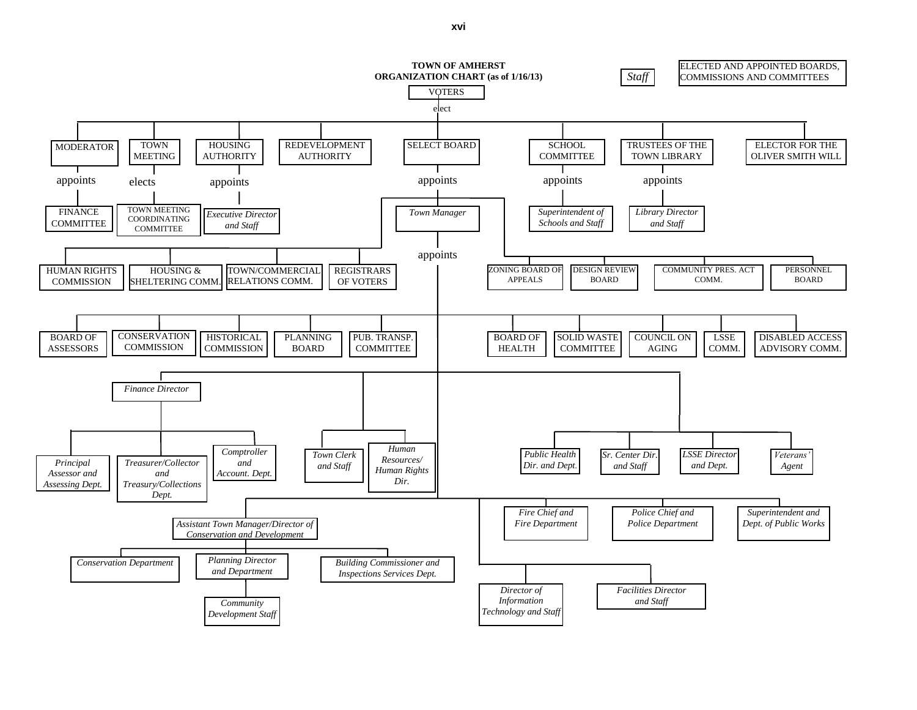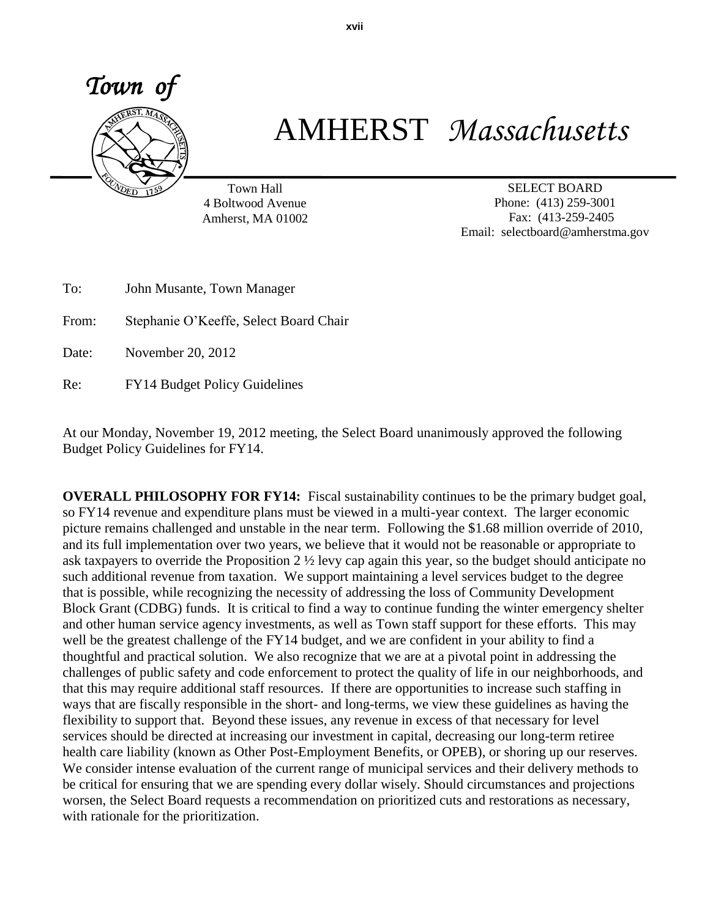

# AMHERST *Massachusetts*

Town Hall 4 Boltwood Avenue Amherst, MA 01002

SELECT BOARD Phone: (413) 259-3001 Fax: (413-259-2405 Email: selectboard@amherstma.gov

To: John Musante, Town Manager

From: Stephanie O'Keeffe, Select Board Chair

Date: November 20, 2012

Re: FY14 Budget Policy Guidelines

At our Monday, November 19, 2012 meeting, the Select Board unanimously approved the following Budget Policy Guidelines for FY14.

**OVERALL PHILOSOPHY FOR FY14:** Fiscal sustainability continues to be the primary budget goal, so FY14 revenue and expenditure plans must be viewed in a multi-year context. The larger economic picture remains challenged and unstable in the near term. Following the \$1.68 million override of 2010, and its full implementation over two years, we believe that it would not be reasonable or appropriate to ask taxpayers to override the Proposition 2  $\frac{1}{2}$  levy cap again this year, so the budget should anticipate no such additional revenue from taxation. We support maintaining a level services budget to the degree that is possible, while recognizing the necessity of addressing the loss of Community Development Block Grant (CDBG) funds. It is critical to find a way to continue funding the winter emergency shelter and other human service agency investments, as well as Town staff support for these efforts. This may well be the greatest challenge of the FY14 budget, and we are confident in your ability to find a thoughtful and practical solution. We also recognize that we are at a pivotal point in addressing the challenges of public safety and code enforcement to protect the quality of life in our neighborhoods, and that this may require additional staff resources. If there are opportunities to increase such staffing in ways that are fiscally responsible in the short- and long-terms, we view these guidelines as having the flexibility to support that. Beyond these issues, any revenue in excess of that necessary for level services should be directed at increasing our investment in capital, decreasing our long-term retiree health care liability (known as Other Post-Employment Benefits, or OPEB), or shoring up our reserves. We consider intense evaluation of the current range of municipal services and their delivery methods to be critical for ensuring that we are spending every dollar wisely. Should circumstances and projections worsen, the Select Board requests a recommendation on prioritized cuts and restorations as necessary, with rationale for the prioritization.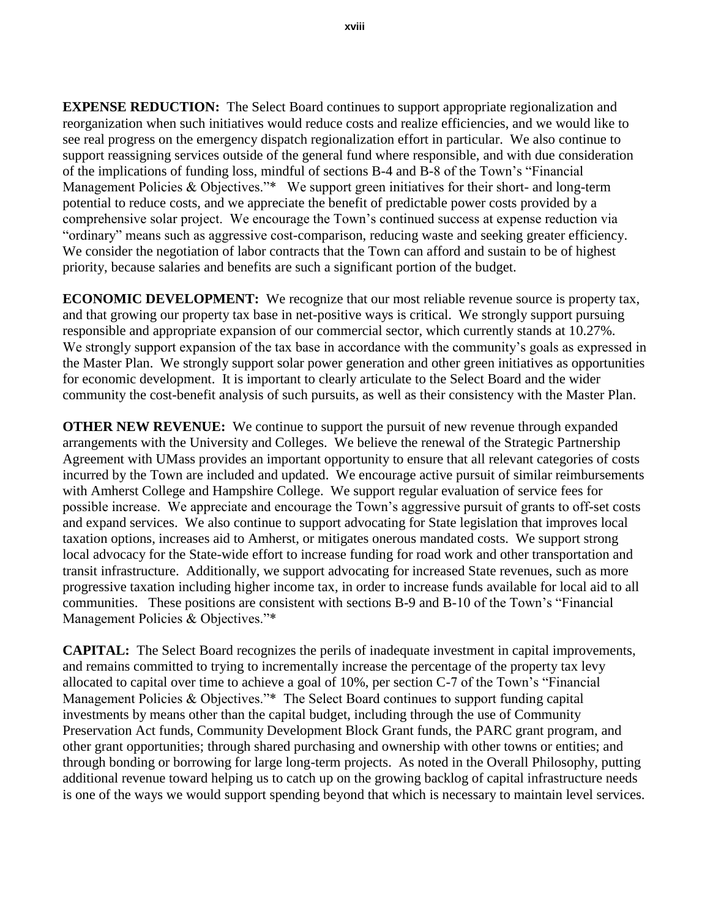**EXPENSE REDUCTION:** The Select Board continues to support appropriate regionalization and reorganization when such initiatives would reduce costs and realize efficiencies, and we would like to see real progress on the emergency dispatch regionalization effort in particular. We also continue to support reassigning services outside of the general fund where responsible, and with due consideration of the implications of funding loss, mindful of sections B-4 and B-8 of the Town's "Financial Management Policies & Objectives."\* We support green initiatives for their short- and long-term potential to reduce costs, and we appreciate the benefit of predictable power costs provided by a comprehensive solar project. We encourage the Town's continued success at expense reduction via "ordinary" means such as aggressive cost-comparison, reducing waste and seeking greater efficiency. We consider the negotiation of labor contracts that the Town can afford and sustain to be of highest priority, because salaries and benefits are such a significant portion of the budget.

**ECONOMIC DEVELOPMENT:** We recognize that our most reliable revenue source is property tax, and that growing our property tax base in net-positive ways is critical. We strongly support pursuing responsible and appropriate expansion of our commercial sector, which currently stands at 10.27%. We strongly support expansion of the tax base in accordance with the community's goals as expressed in the Master Plan. We strongly support solar power generation and other green initiatives as opportunities for economic development. It is important to clearly articulate to the Select Board and the wider community the cost-benefit analysis of such pursuits, as well as their consistency with the Master Plan.

**OTHER NEW REVENUE:** We continue to support the pursuit of new revenue through expanded arrangements with the University and Colleges. We believe the renewal of the Strategic Partnership Agreement with UMass provides an important opportunity to ensure that all relevant categories of costs incurred by the Town are included and updated. We encourage active pursuit of similar reimbursements with Amherst College and Hampshire College. We support regular evaluation of service fees for possible increase. We appreciate and encourage the Town's aggressive pursuit of grants to off-set costs and expand services. We also continue to support advocating for State legislation that improves local taxation options, increases aid to Amherst, or mitigates onerous mandated costs. We support strong local advocacy for the State-wide effort to increase funding for road work and other transportation and transit infrastructure. Additionally, we support advocating for increased State revenues, such as more progressive taxation including higher income tax, in order to increase funds available for local aid to all communities. These positions are consistent with sections B-9 and B-10 of the Town's "Financial Management Policies & Objectives."\*

**CAPITAL:** The Select Board recognizes the perils of inadequate investment in capital improvements, and remains committed to trying to incrementally increase the percentage of the property tax levy allocated to capital over time to achieve a goal of 10%, per section C-7 of the Town's "Financial Management Policies & Objectives."\* The Select Board continues to support funding capital investments by means other than the capital budget, including through the use of Community Preservation Act funds, Community Development Block Grant funds, the PARC grant program, and other grant opportunities; through shared purchasing and ownership with other towns or entities; and through bonding or borrowing for large long-term projects. As noted in the Overall Philosophy, putting additional revenue toward helping us to catch up on the growing backlog of capital infrastructure needs is one of the ways we would support spending beyond that which is necessary to maintain level services.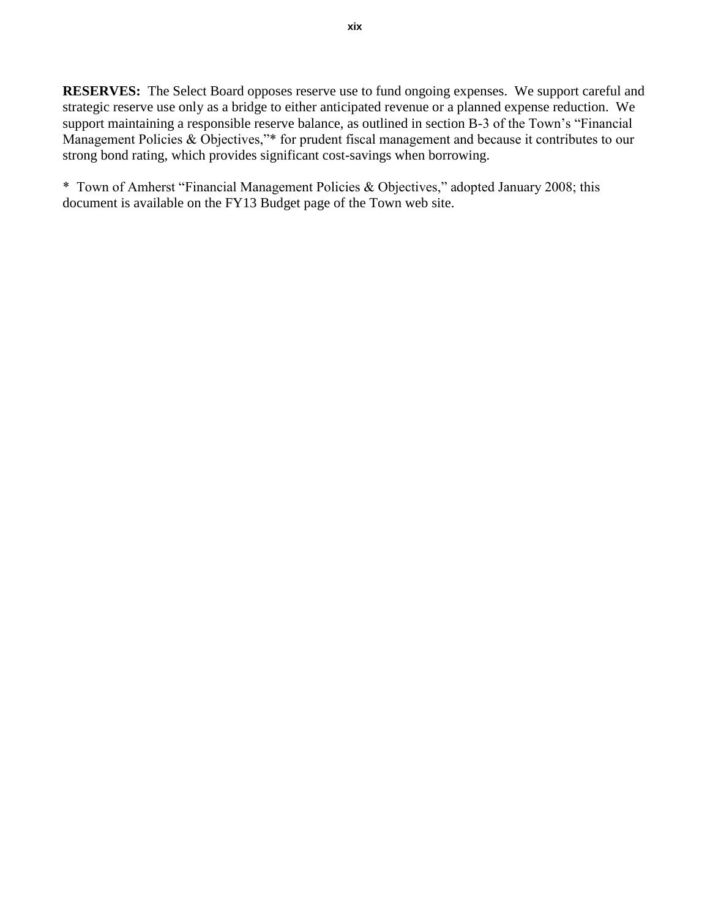**RESERVES:** The Select Board opposes reserve use to fund ongoing expenses. We support careful and strategic reserve use only as a bridge to either anticipated revenue or a planned expense reduction. We support maintaining a responsible reserve balance, as outlined in section B-3 of the Town's "Financial" Management Policies & Objectives,"\* for prudent fiscal management and because it contributes to our strong bond rating, which provides significant cost-savings when borrowing.

\* Town of Amherst "Financial Management Policies & Objectives," adopted January 2008; this document is available on the FY13 Budget page of the Town web site.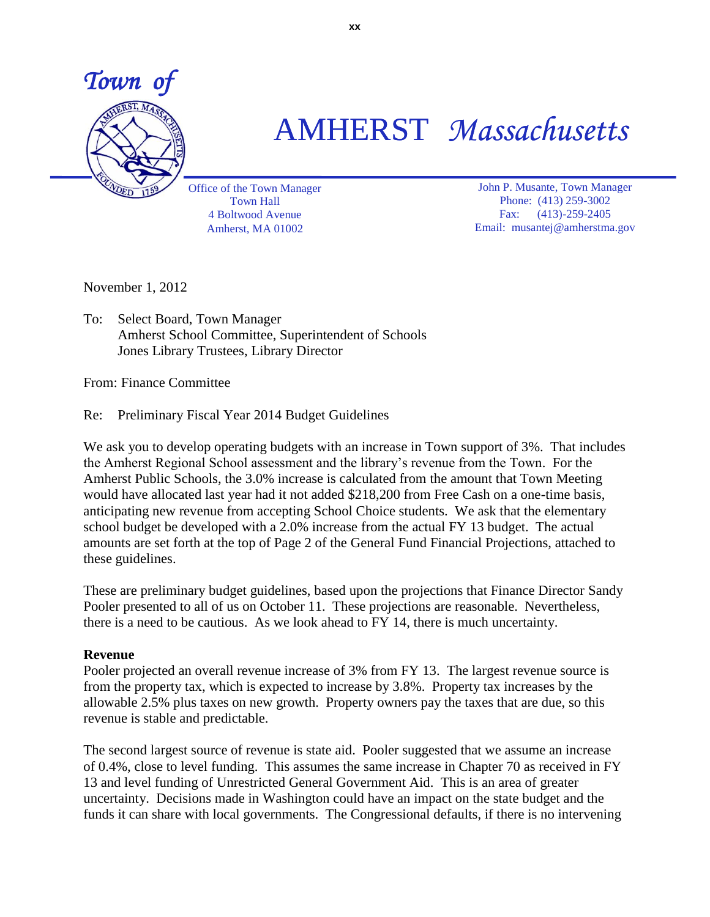

# AMHERST *Massachusetts*

Office of the Town Manager Town Hall 4 Boltwood Avenue Amherst, MA 01002

John P. Musante, Town Manager Phone: (413) 259-3002 Fax: (413)-259-2405 Email: musantej@amherstma.gov

November 1, 2012

To: Select Board, Town Manager Amherst School Committee, Superintendent of Schools Jones Library Trustees, Library Director

From: Finance Committee

Re: Preliminary Fiscal Year 2014 Budget Guidelines

We ask you to develop operating budgets with an increase in Town support of 3%. That includes the Amherst Regional School assessment and the library's revenue from the Town. For the Amherst Public Schools, the 3.0% increase is calculated from the amount that Town Meeting would have allocated last year had it not added \$218,200 from Free Cash on a one-time basis, anticipating new revenue from accepting School Choice students. We ask that the elementary school budget be developed with a 2.0% increase from the actual FY 13 budget. The actual amounts are set forth at the top of Page 2 of the General Fund Financial Projections, attached to these guidelines.

These are preliminary budget guidelines, based upon the projections that Finance Director Sandy Pooler presented to all of us on October 11. These projections are reasonable. Nevertheless, there is a need to be cautious. As we look ahead to FY 14, there is much uncertainty.

## **Revenue**

Pooler projected an overall revenue increase of 3% from FY 13. The largest revenue source is from the property tax, which is expected to increase by 3.8%. Property tax increases by the allowable 2.5% plus taxes on new growth. Property owners pay the taxes that are due, so this revenue is stable and predictable.

The second largest source of revenue is state aid. Pooler suggested that we assume an increase of 0.4%, close to level funding. This assumes the same increase in Chapter 70 as received in FY 13 and level funding of Unrestricted General Government Aid. This is an area of greater uncertainty. Decisions made in Washington could have an impact on the state budget and the funds it can share with local governments. The Congressional defaults, if there is no intervening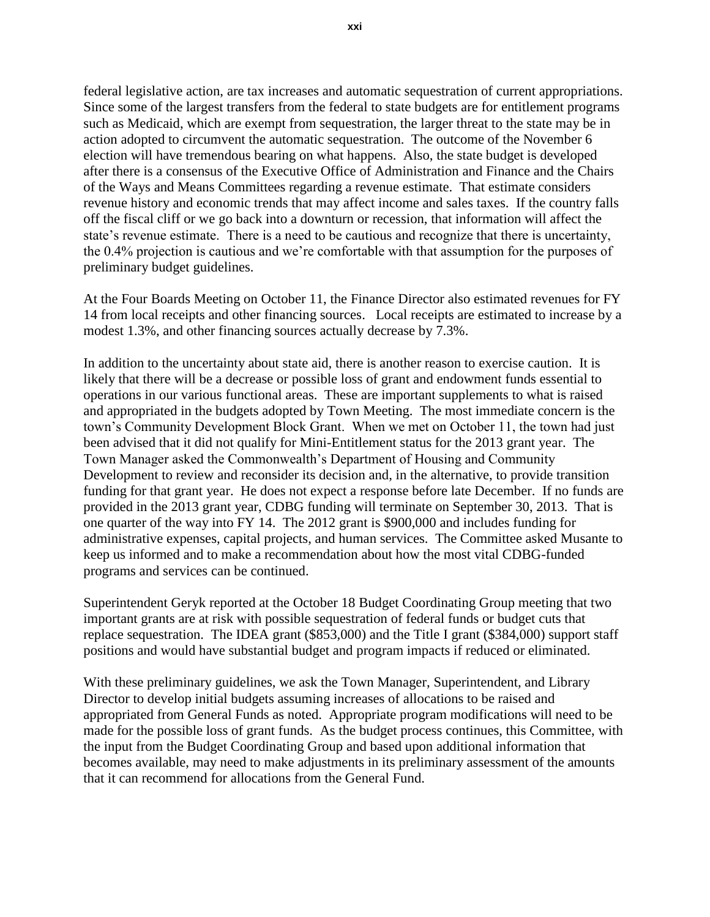federal legislative action, are tax increases and automatic sequestration of current appropriations. Since some of the largest transfers from the federal to state budgets are for entitlement programs such as Medicaid, which are exempt from sequestration, the larger threat to the state may be in action adopted to circumvent the automatic sequestration. The outcome of the November 6 election will have tremendous bearing on what happens. Also, the state budget is developed after there is a consensus of the Executive Office of Administration and Finance and the Chairs of the Ways and Means Committees regarding a revenue estimate. That estimate considers revenue history and economic trends that may affect income and sales taxes. If the country falls off the fiscal cliff or we go back into a downturn or recession, that information will affect the state's revenue estimate. There is a need to be cautious and recognize that there is uncertainty, the 0.4% projection is cautious and we're comfortable with that assumption for the purposes of preliminary budget guidelines.

At the Four Boards Meeting on October 11, the Finance Director also estimated revenues for FY 14 from local receipts and other financing sources. Local receipts are estimated to increase by a modest 1.3%, and other financing sources actually decrease by 7.3%.

In addition to the uncertainty about state aid, there is another reason to exercise caution. It is likely that there will be a decrease or possible loss of grant and endowment funds essential to operations in our various functional areas. These are important supplements to what is raised and appropriated in the budgets adopted by Town Meeting. The most immediate concern is the town's Community Development Block Grant. When we met on October 11, the town had just been advised that it did not qualify for Mini-Entitlement status for the 2013 grant year. The Town Manager asked the Commonwealth's Department of Housing and Community Development to review and reconsider its decision and, in the alternative, to provide transition funding for that grant year. He does not expect a response before late December. If no funds are provided in the 2013 grant year, CDBG funding will terminate on September 30, 2013. That is one quarter of the way into FY 14. The 2012 grant is \$900,000 and includes funding for administrative expenses, capital projects, and human services. The Committee asked Musante to keep us informed and to make a recommendation about how the most vital CDBG-funded programs and services can be continued.

Superintendent Geryk reported at the October 18 Budget Coordinating Group meeting that two important grants are at risk with possible sequestration of federal funds or budget cuts that replace sequestration. The IDEA grant (\$853,000) and the Title I grant (\$384,000) support staff positions and would have substantial budget and program impacts if reduced or eliminated.

With these preliminary guidelines, we ask the Town Manager, Superintendent, and Library Director to develop initial budgets assuming increases of allocations to be raised and appropriated from General Funds as noted. Appropriate program modifications will need to be made for the possible loss of grant funds. As the budget process continues, this Committee, with the input from the Budget Coordinating Group and based upon additional information that becomes available, may need to make adjustments in its preliminary assessment of the amounts that it can recommend for allocations from the General Fund.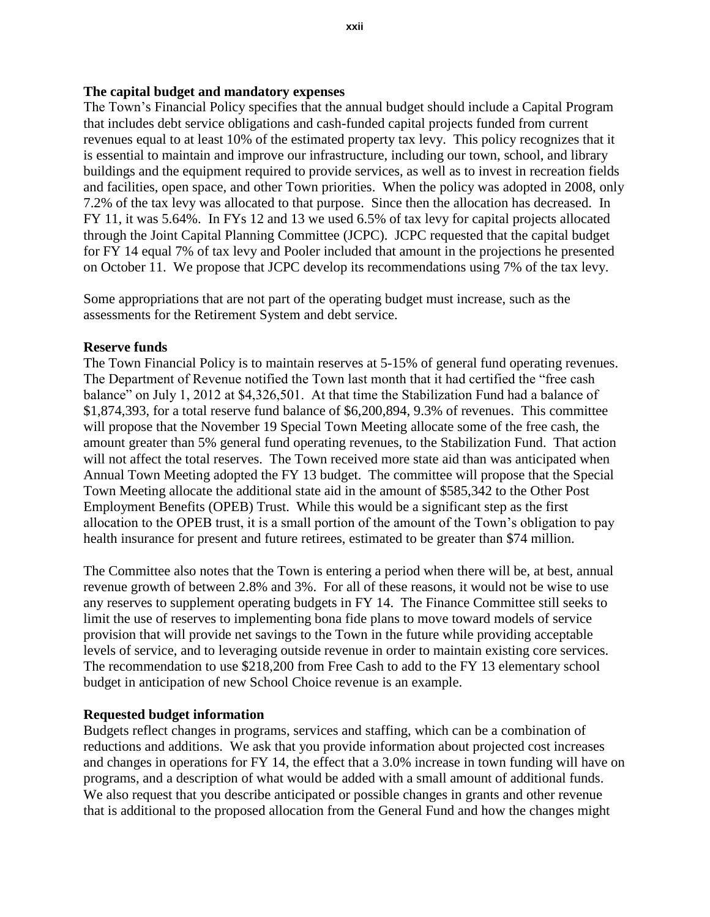#### **The capital budget and mandatory expenses**

The Town's Financial Policy specifies that the annual budget should include a Capital Program that includes debt service obligations and cash-funded capital projects funded from current revenues equal to at least 10% of the estimated property tax levy. This policy recognizes that it is essential to maintain and improve our infrastructure, including our town, school, and library buildings and the equipment required to provide services, as well as to invest in recreation fields and facilities, open space, and other Town priorities. When the policy was adopted in 2008, only 7.2% of the tax levy was allocated to that purpose. Since then the allocation has decreased. In FY 11, it was 5.64%. In FYs 12 and 13 we used 6.5% of tax levy for capital projects allocated through the Joint Capital Planning Committee (JCPC). JCPC requested that the capital budget for FY 14 equal 7% of tax levy and Pooler included that amount in the projections he presented on October 11. We propose that JCPC develop its recommendations using 7% of the tax levy.

Some appropriations that are not part of the operating budget must increase, such as the assessments for the Retirement System and debt service.

## **Reserve funds**

The Town Financial Policy is to maintain reserves at 5-15% of general fund operating revenues. The Department of Revenue notified the Town last month that it had certified the "free cash balance" on July 1, 2012 at \$4,326,501. At that time the Stabilization Fund had a balance of \$1,874,393, for a total reserve fund balance of \$6,200,894, 9.3% of revenues. This committee will propose that the November 19 Special Town Meeting allocate some of the free cash, the amount greater than 5% general fund operating revenues, to the Stabilization Fund. That action will not affect the total reserves. The Town received more state aid than was anticipated when Annual Town Meeting adopted the FY 13 budget. The committee will propose that the Special Town Meeting allocate the additional state aid in the amount of \$585,342 to the Other Post Employment Benefits (OPEB) Trust. While this would be a significant step as the first allocation to the OPEB trust, it is a small portion of the amount of the Town's obligation to pay health insurance for present and future retirees, estimated to be greater than \$74 million.

The Committee also notes that the Town is entering a period when there will be, at best, annual revenue growth of between 2.8% and 3%. For all of these reasons, it would not be wise to use any reserves to supplement operating budgets in FY 14. The Finance Committee still seeks to limit the use of reserves to implementing bona fide plans to move toward models of service provision that will provide net savings to the Town in the future while providing acceptable levels of service, and to leveraging outside revenue in order to maintain existing core services. The recommendation to use \$218,200 from Free Cash to add to the FY 13 elementary school budget in anticipation of new School Choice revenue is an example.

## **Requested budget information**

Budgets reflect changes in programs, services and staffing, which can be a combination of reductions and additions. We ask that you provide information about projected cost increases and changes in operations for FY 14, the effect that a 3.0% increase in town funding will have on programs, and a description of what would be added with a small amount of additional funds. We also request that you describe anticipated or possible changes in grants and other revenue that is additional to the proposed allocation from the General Fund and how the changes might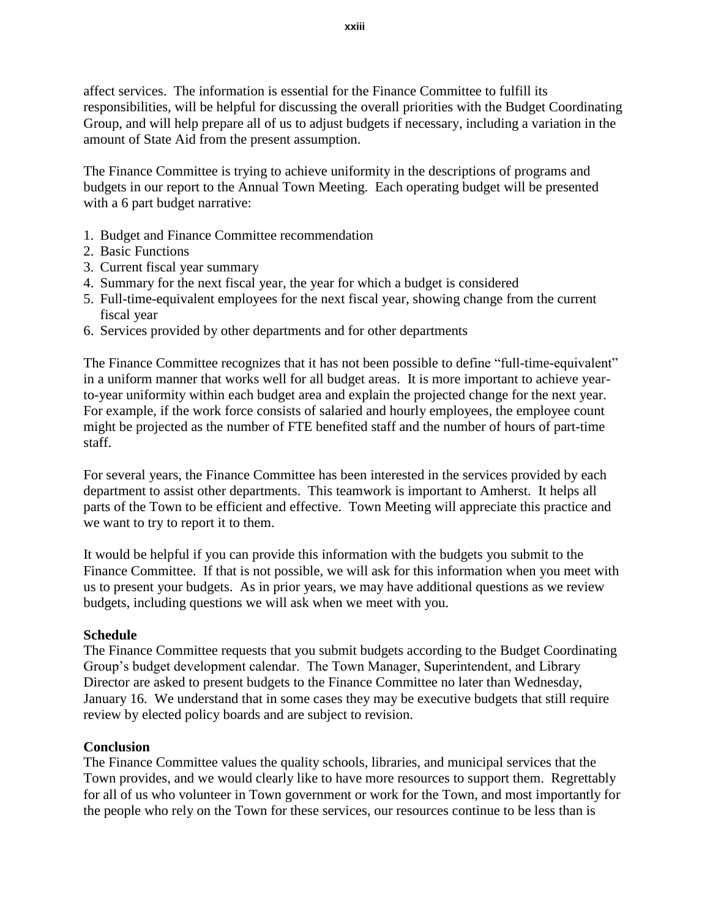affect services. The information is essential for the Finance Committee to fulfill its responsibilities, will be helpful for discussing the overall priorities with the Budget Coordinating Group, and will help prepare all of us to adjust budgets if necessary, including a variation in the amount of State Aid from the present assumption.

The Finance Committee is trying to achieve uniformity in the descriptions of programs and budgets in our report to the Annual Town Meeting. Each operating budget will be presented with a 6 part budget narrative:

- 1. Budget and Finance Committee recommendation
- 2. Basic Functions
- 3. Current fiscal year summary
- 4. Summary for the next fiscal year, the year for which a budget is considered
- 5. Full-time-equivalent employees for the next fiscal year, showing change from the current fiscal year
- 6. Services provided by other departments and for other departments

The Finance Committee recognizes that it has not been possible to define "full-time-equivalent" in a uniform manner that works well for all budget areas. It is more important to achieve yearto-year uniformity within each budget area and explain the projected change for the next year. For example, if the work force consists of salaried and hourly employees, the employee count might be projected as the number of FTE benefited staff and the number of hours of part-time staff.

For several years, the Finance Committee has been interested in the services provided by each department to assist other departments. This teamwork is important to Amherst. It helps all parts of the Town to be efficient and effective. Town Meeting will appreciate this practice and we want to try to report it to them.

It would be helpful if you can provide this information with the budgets you submit to the Finance Committee. If that is not possible, we will ask for this information when you meet with us to present your budgets. As in prior years, we may have additional questions as we review budgets, including questions we will ask when we meet with you.

## **Schedule**

The Finance Committee requests that you submit budgets according to the Budget Coordinating Group's budget development calendar. The Town Manager, Superintendent, and Library Director are asked to present budgets to the Finance Committee no later than Wednesday, January 16. We understand that in some cases they may be executive budgets that still require review by elected policy boards and are subject to revision.

## **Conclusion**

The Finance Committee values the quality schools, libraries, and municipal services that the Town provides, and we would clearly like to have more resources to support them. Regrettably for all of us who volunteer in Town government or work for the Town, and most importantly for the people who rely on the Town for these services, our resources continue to be less than is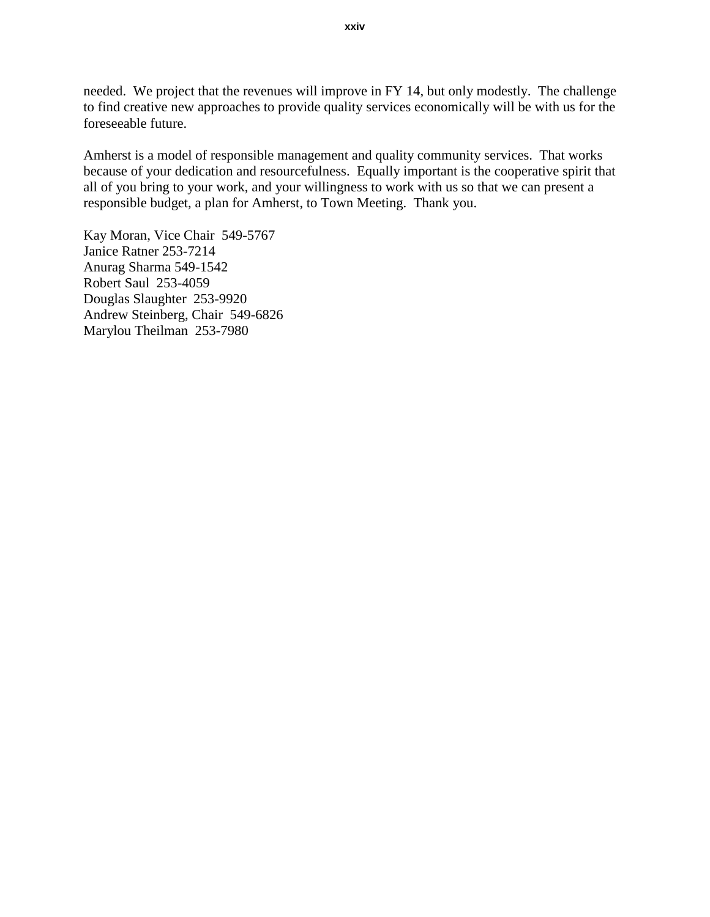needed. We project that the revenues will improve in FY 14, but only modestly. The challenge to find creative new approaches to provide quality services economically will be with us for the foreseeable future.

Amherst is a model of responsible management and quality community services. That works because of your dedication and resourcefulness. Equally important is the cooperative spirit that all of you bring to your work, and your willingness to work with us so that we can present a responsible budget, a plan for Amherst, to Town Meeting. Thank you.

Kay Moran, Vice Chair 549-5767 Janice Ratner 253-7214 Anurag Sharma 549-1542 Robert Saul 253-4059 Douglas Slaughter 253-9920 Andrew Steinberg, Chair 549-6826 Marylou Theilman 253-7980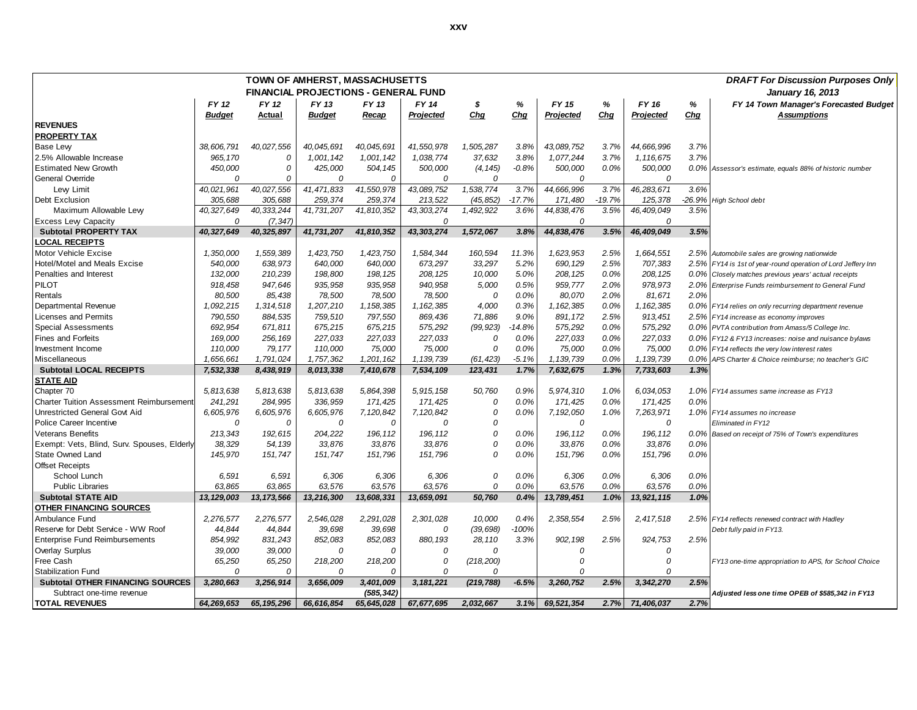| TOWN OF AMHERST, MASSACHUSETTS                  |               |              |               |             |             |            |          |             |          |             |          | <b>DRAFT For Discussion Purposes Only</b>               |
|-------------------------------------------------|---------------|--------------|---------------|-------------|-------------|------------|----------|-------------|----------|-------------|----------|---------------------------------------------------------|
| <b>FINANCIAL PROJECTIONS - GENERAL FUND</b>     |               |              |               |             |             |            |          |             |          |             |          | January 16, 2013                                        |
|                                                 | FY 12         | FY 12        | FY 13         | FY 13       | FY 14       | \$         | %        | FY 15       | %        | FY 16       | %        | FY 14 Town Manager's Forecasted Budget                  |
|                                                 | <b>Budget</b> | Actual       | <b>Budget</b> | Recap       | Projected   | Chg        | Chg      | Projected   | Chg      | Projected   | Cha      | Assumptions                                             |
| <b>REVENUES</b>                                 |               |              |               |             |             |            |          |             |          |             |          |                                                         |
| <b>PROPERTY TAX</b>                             |               |              |               |             |             |            |          |             |          |             |          |                                                         |
| Base Lew                                        | 38,606,791    | 40,027,556   | 40,045,691    | 40,045,691  | 41,550,978  | 1,505,287  | 3.8%     | 43,089,752  | 3.7%     | 44,666,996  | 3.7%     |                                                         |
| 2.5% Allowable Increase                         | 965, 170      | $\mathcal O$ | 1,001,142     | 1,001,142   | 1,038,774   | 37,632     | 3.8%     | 1,077,244   | 3.7%     | 1,116,675   | 3.7%     |                                                         |
| <b>Estimated New Growth</b>                     | 450,000       | 0            | 425,000       | 504,145     | 500,000     | (4, 145)   | $-0.8%$  | 500,000     | 0.0%     | 500,000     |          | 0.0% Assessor's estimate, equals 88% of historic number |
| <b>General Override</b>                         | $\Omega$      | 0            | 0             | 0           | 0           | $\Omega$   |          | $\Omega$    |          | $\Omega$    |          |                                                         |
| Lew Limit                                       | 40,021,961    | 40,027,556   | 41,471,833    | 41,550,978  | 43,089,752  | 1,538,774  | 3.7%     | 44,666,996  | 3.7%     | 46,283,671  | 3.6%     |                                                         |
| Debt Exclusion                                  | 305,688       | 305,688      | 259,374       | 259,374     | 213,522     | (45, 852)  | $-17.7%$ | 171,480     | $-19.7%$ | 125,378     | $-26.9%$ | <b>High School debt</b>                                 |
| Maximum Allowable Lew                           | 40,327,649    | 40,333,244   | 41,731,207    | 41,810,352  | 43,303,274  | 1,492,922  | 3.6%     | 44,838,476  | 3.5%     | 46,409,049  | 3.5%     |                                                         |
| <b>Excess Levy Capacity</b>                     | 0             | (7, 347)     |               |             | $\Omega$    |            |          | $\Omega$    |          | $\Omega$    |          |                                                         |
| <b>Subtotal PROPERTY TAX</b>                    | 40,327,649    | 40,325,897   | 41,731,207    | 41,810,352  | 43,303,274  | 1,572,067  | 3.8%     | 44,838,476  | 3.5%     | 46,409,049  | 3.5%     |                                                         |
| <b>LOCAL RECEIPTS</b>                           |               |              |               |             |             |            |          |             |          |             |          |                                                         |
| Motor Vehicle Excise                            | 1,350,000     | 1,559,389    | 1,423,750     | 1,423,750   | 1,584,344   | 160,594    | 11.3%    | 1,623,953   | 2.5%     | 1,664,551   |          | 2.5% Automobile sales are growing nationwide            |
| Hotel/Motel and Meals Excise                    | 540,000       | 638,973      | 640,000       | 640,000     | 673,297     | 33,297     | 5.2%     | 690, 129    | 2.5%     | 707,383     | 2.5%     | FY14 is 1st of year-round operation of Lord Jeffery Inn |
| Penalties and Interest                          | 132,000       | 210,239      | 198,800       | 198, 125    | 208, 125    | 10,000     | 5.0%     | 208, 125    | 0.0%     | 208, 125    | 0.0%     | Closely matches previous years' actual receipts         |
| <b>PILOT</b>                                    | 918,458       | 947,646      | 935,958       | 935,958     | 940,958     | 5,000      | 0.5%     | 959,777     | 2.0%     | 978,973     | 2.0%     | Enterprise Funds reimbursement to General Fund          |
| Rentals                                         | 80,500        | 85,438       | 78,500        | 78,500      | 78,500      | 0          | 0.0%     | 80,070      | 2.0%     | 81,671      | 2.0%     |                                                         |
| Departmental Revenue                            | 1,092,215     | 1,314,518    | 1,207,210     | 1, 158, 385 | 1, 162, 385 | 4,000      | 0.3%     | 1, 162, 385 | 0.0%     | 1, 162, 385 |          | 0.0% FY14 relies on only recurring department revenue   |
| <b>Licenses and Permits</b>                     | 790,550       | 884,535      | 759,510       | 797,550     | 869,436     | 71,886     | 9.0%     | 891,172     | 2.5%     | 913,451     | 2.5%     | FY14 increase as economy improves                       |
| <b>Special Assessments</b>                      | 692,954       | 671,811      | 675,215       | 675,215     | 575,292     | (99, 923)  | $-14.8%$ | 575,292     | 0.0%     | 575,292     | 0.0%     |                                                         |
| <b>Fines and Forfeits</b>                       |               | 256,169      | 227,033       | 227,033     | 227,033     | 0          | 0.0%     | 227,033     | 0.0%     | 227,033     | 0.0%     | PVTA contribution from Amass/5 College Inc.             |
|                                                 | 169,000       |              |               |             |             | $\Omega$   | 0.0%     |             | 0.0%     |             | 0.0%     | FY12 & FY13 increases: noise and nuisance bylaws        |
| Investment Income                               | 110,000       | 79, 177      | 110,000       | 75,000      | 75,000      |            |          | 75,000      |          | 75,000      |          | FY14 reflects the very low interest rates               |
| Miscellaneous                                   | 1,656,661     | 1,791,024    | 1,757,362     | 1,201,162   | 1, 139, 739 | (61, 423)  | $-5.1%$  | 1, 139, 739 | 0.0%     | 1,139,739   | 0.0%     | APS Charter & Choice reimburse: no teacher's GIC        |
| <b>Subtotal LOCAL RECEIPTS</b>                  | 7,532,338     | 8,438,919    | 8,013,338     | 7,410,678   | 7,534,109   | 123.431    | 1.7%     | 7.632.675   | 1.3%     | 7,733,603   | 1.3%     |                                                         |
| <b>STATE AID</b>                                |               |              |               |             |             |            |          |             |          |             |          |                                                         |
| Chapter 70                                      | 5,813,638     | 5,813,638    | 5,813,638     | 5,864,398   | 5,915,158   | 50,760     | 0.9%     | 5,974,310   | 1.0%     | 6.034,053   | 1.0%     | FY14 assumes same increase as FY13                      |
| <b>Charter Tuition Assessment Reimbursement</b> | 241,291       | 284,995      | 336,959       | 171,425     | 171,425     | 0          | 0.0%     | 171,425     | 0.0%     | 171,425     | 0.0%     |                                                         |
| Unrestricted General Govt Aid                   | 6,605,976     | 6,605,976    | 6,605,976     | 7,120,842   | 7,120,842   | $\Omega$   | 0.0%     | 7, 192, 050 | 1.0%     | 7,263,971   |          | 1.0% FY14 assumes no increase                           |
| Police Career Incentive                         | 0             | 0            | 0             | $\Omega$    | $\Omega$    | $\Omega$   |          | 0           |          | 0           |          | Eliminated in FY12                                      |
| <b>Veterans Benefits</b>                        | 213,343       | 192,615      | 204,222       | 196, 112    | 196, 112    | $\Omega$   | 0.0%     | 196, 112    | 0.0%     | 196, 112    | 0.0%     | Based on receipt of 75% of Town's expenditures          |
| Exempt: Vets, Blind, Surv. Spouses, Elderly     | 38,329        | 54,139       | 33,876        | 33,876      | 33,876      | $\Omega$   | 0.0%     | 33,876      | 0.0%     | 33,876      | 0.0%     |                                                         |
| <b>State Owned Land</b>                         | 145,970       | 151,747      | 151,747       | 151,796     | 151,796     | $\Omega$   | 0.0%     | 151,796     | 0.0%     | 151,796     | 0.0%     |                                                         |
| <b>Offset Receipts</b>                          |               |              |               |             |             |            |          |             |          |             |          |                                                         |
| School Lunch                                    | 6,591         | 6,591        | 6,306         | 6,306       | 6,306       | 0          | 0.0%     | 6,306       | 0.0%     | 6,306       | 0.0%     |                                                         |
| <b>Public Libraries</b>                         | 63,865        | 63,865       | 63,576        | 63,576      | 63,576      | 0          | 0.0%     | 63,576      | 0.0%     | 63,576      | 0.0%     |                                                         |
| <b>Subtotal STATE AID</b>                       | 13, 129, 003  | 13, 173, 566 | 13,216,300    | 13,608,331  | 13,659,091  | 50,760     | 0.4%     | 13,789,451  | 1.0%     | 13,921,115  | 1.0%     |                                                         |
| <b>OTHER FINANCING SOURCES</b>                  |               |              |               |             |             |            |          |             |          |             |          |                                                         |
| Ambulance Fund                                  | 2,276,577     | 2,276,577    | 2,546,028     | 2,291,028   | 2,301,028   | 10,000     | 0.4%     | 2,358,554   | 2.5%     | 2,417,518   |          | 2.5% FY14 reflects renewed contract with Hadley         |
| Reserve for Debt Service - WW Roof              | 44,844        | 44,844       | 39,698        | 39,698      | 0           | (39, 698)  | $-100%$  |             |          |             |          | Debt fully paid in FY13.                                |
| <b>Enterprise Fund Reimbursements</b>           | 854,992       | 831,243      | 852,083       | 852,083     | 880, 193    | 28,110     | 3.3%     | 902, 198    | 2.5%     | 924,753     | 2.5%     |                                                         |
| Overlay Surplus                                 | 39,000        | 39,000       | 0             | $\Omega$    | 0           | $\Omega$   |          | $\Omega$    |          | 0           |          |                                                         |
| Free Cash                                       | 65,250        | 65,250       | 218,200       | 218,200     | 0           | (218, 200) |          | 0           |          | 0           |          | FY13 one-time appropriation to APS, for School Choice   |
| <b>Stabilization Fund</b>                       | $\Omega$      | 0            | 0             | $\Omega$    | $\Omega$    | $\Omega$   |          | $\Omega$    |          | $\Omega$    |          |                                                         |
| <b>Subtotal OTHER FINANCING SOURCES</b>         | 3.280.663     | 3,256,914    | 3,656,009     | 3,401,009   | 3, 181, 221 | (219, 788) | $-6.5%$  | 3,260,752   | 2.5%     | 3.342.270   | 2.5%     |                                                         |
| Subtract one-time revenue                       |               |              |               | (585, 342)  |             |            |          |             |          |             |          | Adjusted less one time OPEB of \$585,342 in FY13        |
| <b>TOTAL REVENUES</b>                           | 64,269,653    | 65, 195, 296 | 66,616,854    | 65,645,028  | 67,677,695  | 2,032,667  | 3.1%     | 69,521,354  | 2.7%     | 71,406,037  | 2.7%     |                                                         |